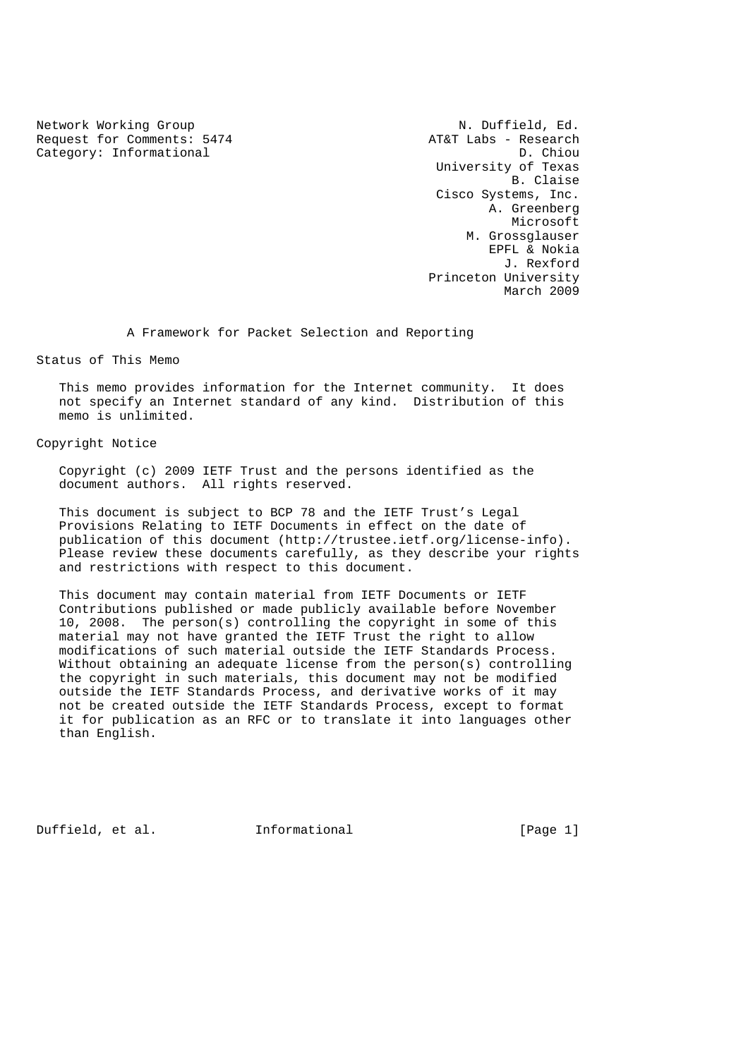Network Working Group N. Duffield, Ed. Request for Comments: 5474 AT&T Labs - Research Category: Informational D. Chiou

 University of Texas B. Claise Cisco Systems, Inc. A. Greenberg Microsoft M. Grossglauser EPFL & Nokia J. Rexford Princeton University March 2009

A Framework for Packet Selection and Reporting

Status of This Memo

 This memo provides information for the Internet community. It does not specify an Internet standard of any kind. Distribution of this memo is unlimited.

Copyright Notice

 Copyright (c) 2009 IETF Trust and the persons identified as the document authors. All rights reserved.

 This document is subject to BCP 78 and the IETF Trust's Legal Provisions Relating to IETF Documents in effect on the date of publication of this document (http://trustee.ietf.org/license-info). Please review these documents carefully, as they describe your rights and restrictions with respect to this document.

 This document may contain material from IETF Documents or IETF Contributions published or made publicly available before November 10, 2008. The person(s) controlling the copyright in some of this material may not have granted the IETF Trust the right to allow modifications of such material outside the IETF Standards Process. Without obtaining an adequate license from the person(s) controlling the copyright in such materials, this document may not be modified outside the IETF Standards Process, and derivative works of it may not be created outside the IETF Standards Process, except to format it for publication as an RFC or to translate it into languages other than English.

Duffield, et al. Informational [Page 1]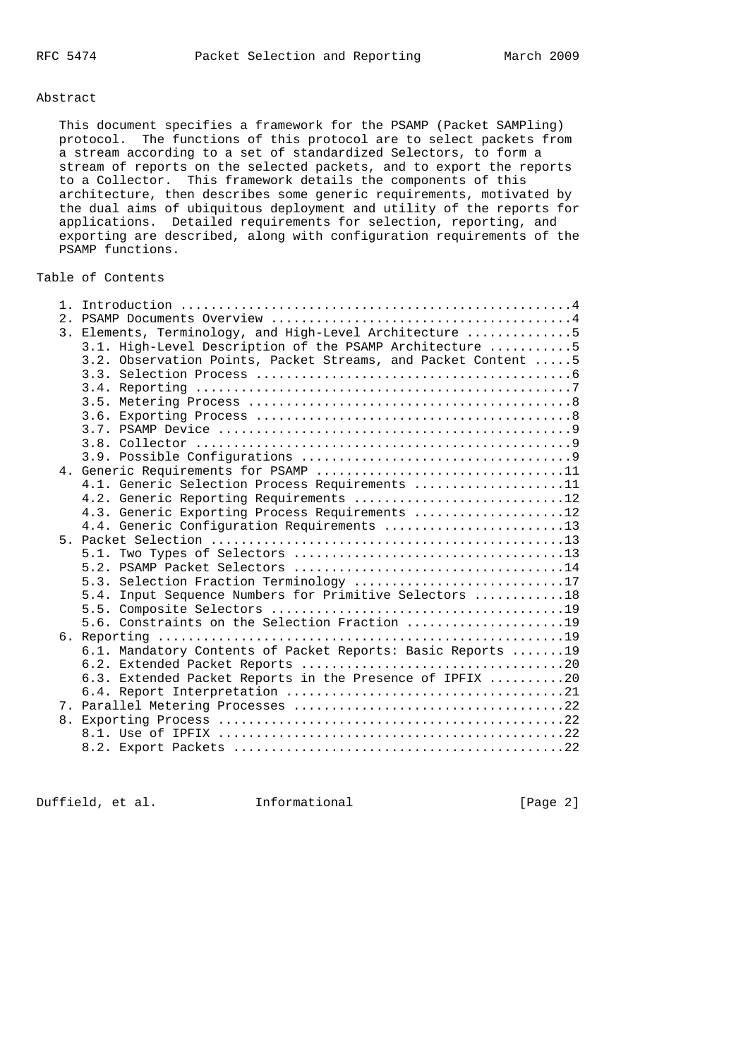#### Abstract

 This document specifies a framework for the PSAMP (Packet SAMPling) protocol. The functions of this protocol are to select packets from a stream according to a set of standardized Selectors, to form a stream of reports on the selected packets, and to export the reports to a Collector. This framework details the components of this architecture, then describes some generic requirements, motivated by the dual aims of ubiquitous deployment and utility of the reports for applications. Detailed requirements for selection, reporting, and exporting are described, along with configuration requirements of the PSAMP functions.

## Table of Contents

|  | 3. Elements, Terminology, and High-Level Architecture 5        |
|--|----------------------------------------------------------------|
|  | 3.1. High-Level Description of the PSAMP Architecture 5        |
|  | 3.2. Observation Points, Packet Streams, and Packet Content  5 |
|  |                                                                |
|  |                                                                |
|  |                                                                |
|  |                                                                |
|  |                                                                |
|  |                                                                |
|  |                                                                |
|  | 4. Generic Requirements for PSAMP 11                           |
|  | 4.1. Generic Selection Process Requirements 11                 |
|  | 4.2. Generic Reporting Requirements 12                         |
|  | 4.3. Generic Exporting Process Requirements 12                 |
|  | 4.4. Generic Configuration Requirements 13                     |
|  |                                                                |
|  |                                                                |
|  |                                                                |
|  | 5.3. Selection Fraction Terminology 17                         |
|  | Input Sequence Numbers for Primitive Selectors 18<br>5.4.      |
|  |                                                                |
|  | 5.6. Constraints on the Selection Fraction 19                  |
|  |                                                                |
|  | 6.1. Mandatory Contents of Packet Reports: Basic Reports  19   |
|  |                                                                |
|  | 6.3. Extended Packet Reports in the Presence of IPFIX 20       |
|  |                                                                |
|  |                                                                |
|  |                                                                |
|  |                                                                |
|  |                                                                |

Duffield, et al. Informational [Page 2]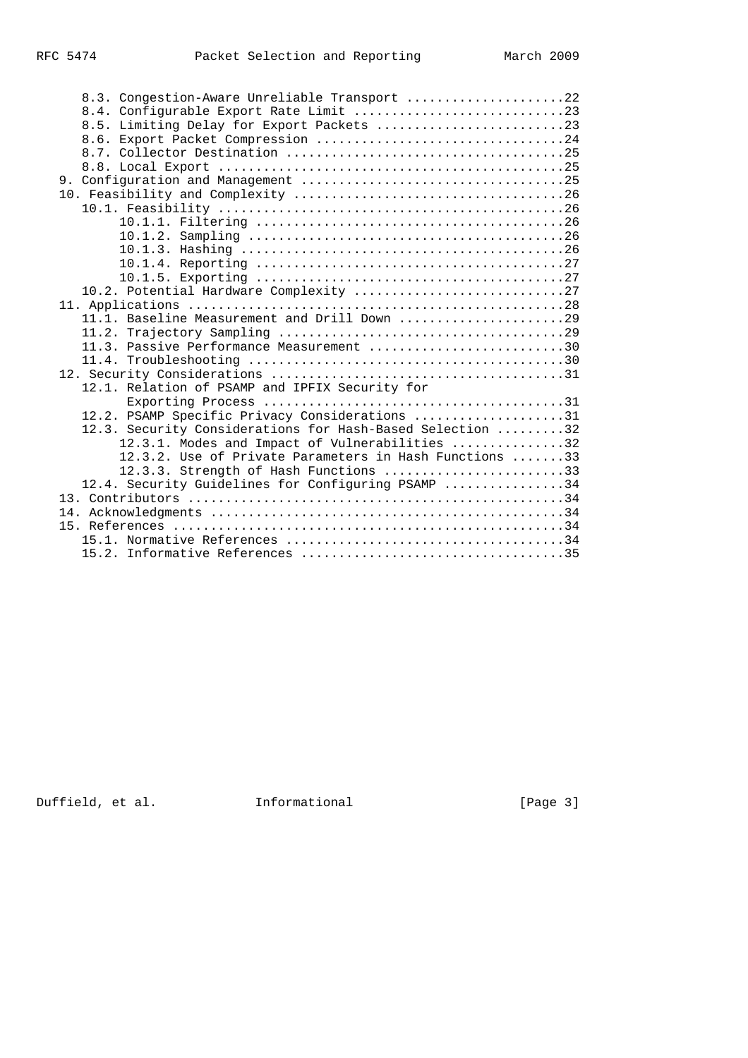| 8.3. Congestion-Aware Unreliable Transport 22             |  |
|-----------------------------------------------------------|--|
| 8.4. Configurable Export Rate Limit 23                    |  |
| 8.5. Limiting Delay for Export Packets 23                 |  |
|                                                           |  |
|                                                           |  |
|                                                           |  |
|                                                           |  |
|                                                           |  |
|                                                           |  |
|                                                           |  |
|                                                           |  |
|                                                           |  |
|                                                           |  |
|                                                           |  |
| 10.2. Potential Hardware Complexity 27                    |  |
|                                                           |  |
| 11.1. Baseline Measurement and Drill Down 29              |  |
|                                                           |  |
| 11.3. Passive Performance Measurement 30                  |  |
|                                                           |  |
|                                                           |  |
| 12.1. Relation of PSAMP and IPFIX Security for            |  |
|                                                           |  |
| 12.2. PSAMP Specific Privacy Considerations 31            |  |
| 12.3. Security Considerations for Hash-Based Selection 32 |  |
| 12.3.1. Modes and Impact of Vulnerabilities 32            |  |
| 12.3.2. Use of Private Parameters in Hash Functions 33    |  |
| 12.3.3. Strength of Hash Functions 33                     |  |
| 12.4. Security Guidelines for Configuring PSAMP 34        |  |
|                                                           |  |
|                                                           |  |
|                                                           |  |
|                                                           |  |
|                                                           |  |

Duffield, et al. 1nformational 1999 [Page 3]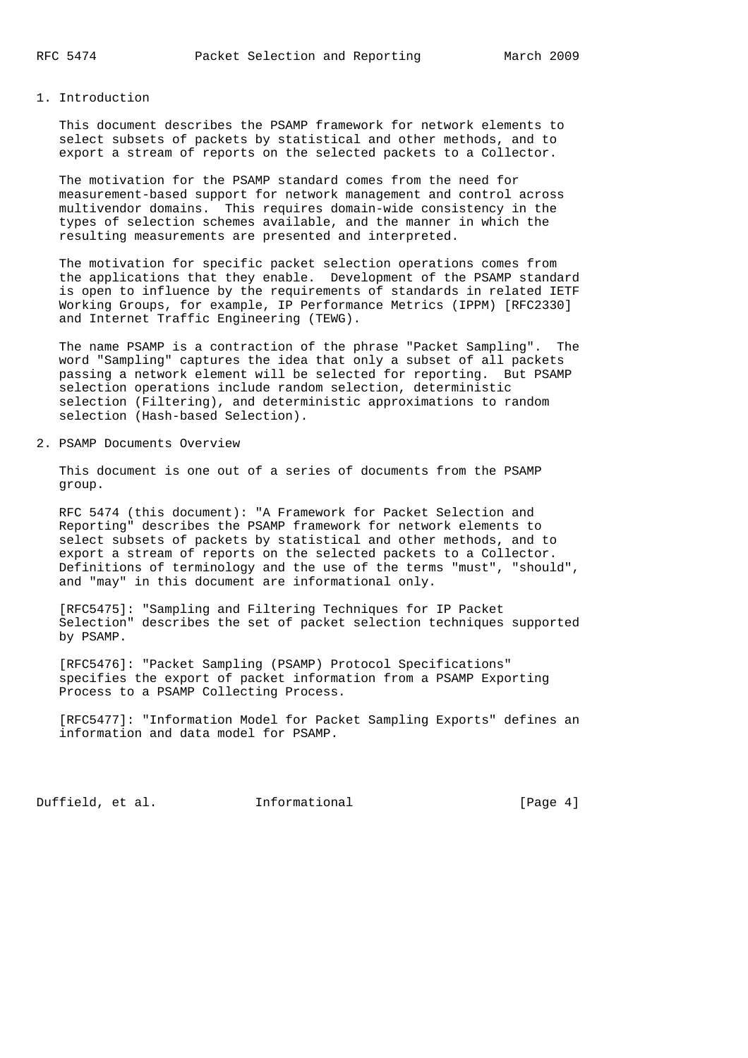### 1. Introduction

 This document describes the PSAMP framework for network elements to select subsets of packets by statistical and other methods, and to export a stream of reports on the selected packets to a Collector.

 The motivation for the PSAMP standard comes from the need for measurement-based support for network management and control across multivendor domains. This requires domain-wide consistency in the types of selection schemes available, and the manner in which the resulting measurements are presented and interpreted.

 The motivation for specific packet selection operations comes from the applications that they enable. Development of the PSAMP standard is open to influence by the requirements of standards in related IETF Working Groups, for example, IP Performance Metrics (IPPM) [RFC2330] and Internet Traffic Engineering (TEWG).

 The name PSAMP is a contraction of the phrase "Packet Sampling". The word "Sampling" captures the idea that only a subset of all packets passing a network element will be selected for reporting. But PSAMP selection operations include random selection, deterministic selection (Filtering), and deterministic approximations to random selection (Hash-based Selection).

#### 2. PSAMP Documents Overview

 This document is one out of a series of documents from the PSAMP group.

 RFC 5474 (this document): "A Framework for Packet Selection and Reporting" describes the PSAMP framework for network elements to select subsets of packets by statistical and other methods, and to export a stream of reports on the selected packets to a Collector. Definitions of terminology and the use of the terms "must", "should", and "may" in this document are informational only.

 [RFC5475]: "Sampling and Filtering Techniques for IP Packet Selection" describes the set of packet selection techniques supported by PSAMP.

 [RFC5476]: "Packet Sampling (PSAMP) Protocol Specifications" specifies the export of packet information from a PSAMP Exporting Process to a PSAMP Collecting Process.

 [RFC5477]: "Information Model for Packet Sampling Exports" defines an information and data model for PSAMP.

Duffield, et al. 1nformational [Page 4]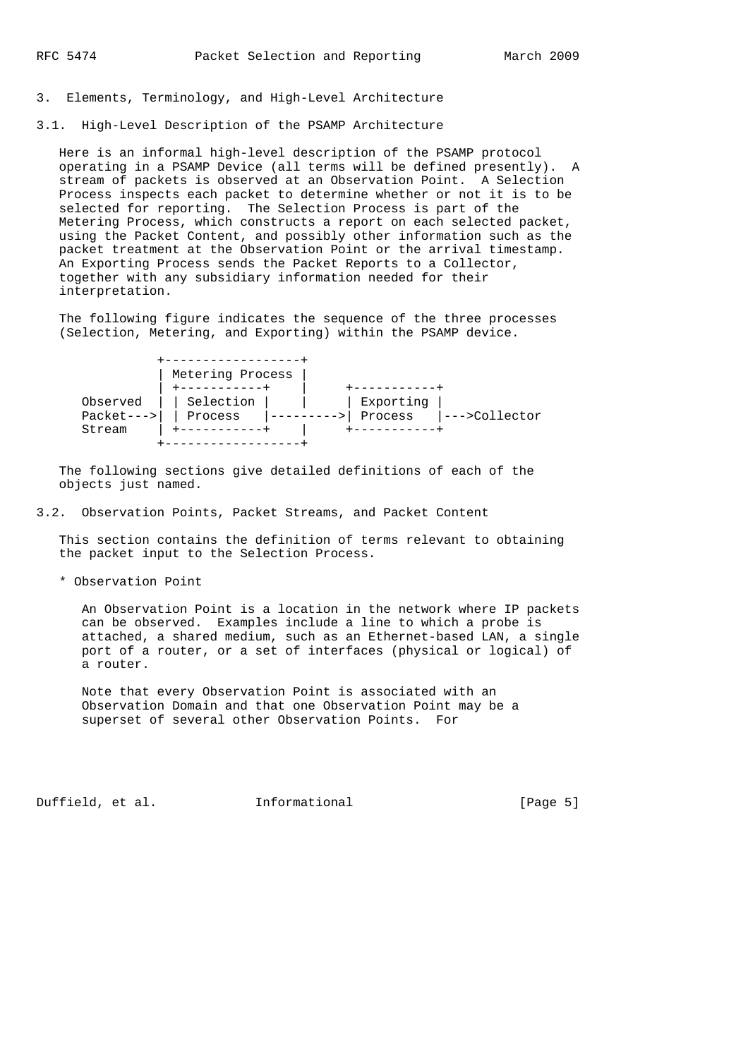- 3. Elements, Terminology, and High-Level Architecture
- 3.1. High-Level Description of the PSAMP Architecture

 Here is an informal high-level description of the PSAMP protocol operating in a PSAMP Device (all terms will be defined presently). A stream of packets is observed at an Observation Point. A Selection Process inspects each packet to determine whether or not it is to be selected for reporting. The Selection Process is part of the Metering Process, which constructs a report on each selected packet, using the Packet Content, and possibly other information such as the packet treatment at the Observation Point or the arrival timestamp. An Exporting Process sends the Packet Reports to a Collector, together with any subsidiary information needed for their interpretation.

 The following figure indicates the sequence of the three processes (Selection, Metering, and Exporting) within the PSAMP device.

|             | Metering Process |           |                |
|-------------|------------------|-----------|----------------|
|             |                  |           |                |
| Observed    | Selection        | Exporting |                |
| $Packet---$ | Process          | Process   | l--->Collector |
| Stream      |                  |           |                |
|             |                  |           |                |

 The following sections give detailed definitions of each of the objects just named.

3.2. Observation Points, Packet Streams, and Packet Content

 This section contains the definition of terms relevant to obtaining the packet input to the Selection Process.

\* Observation Point

 An Observation Point is a location in the network where IP packets can be observed. Examples include a line to which a probe is attached, a shared medium, such as an Ethernet-based LAN, a single port of a router, or a set of interfaces (physical or logical) of a router.

 Note that every Observation Point is associated with an Observation Domain and that one Observation Point may be a superset of several other Observation Points. For

Duffield, et al. 1nformational [Page 5]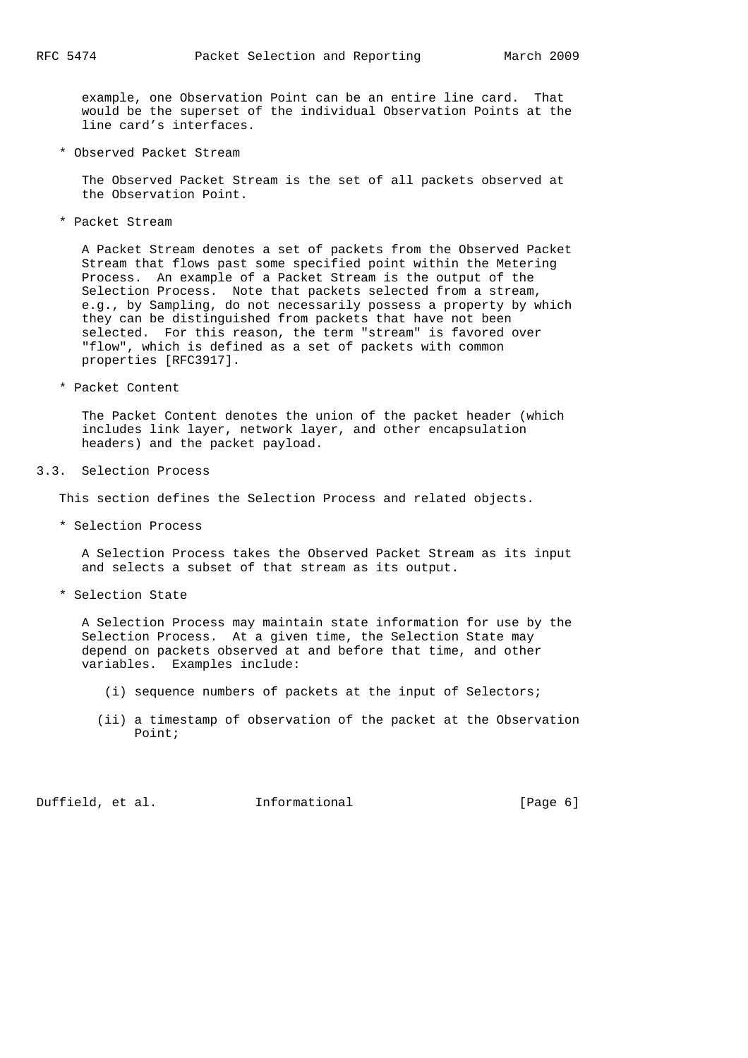example, one Observation Point can be an entire line card. That would be the superset of the individual Observation Points at the line card's interfaces.

\* Observed Packet Stream

 The Observed Packet Stream is the set of all packets observed at the Observation Point.

\* Packet Stream

 A Packet Stream denotes a set of packets from the Observed Packet Stream that flows past some specified point within the Metering Process. An example of a Packet Stream is the output of the Selection Process. Note that packets selected from a stream, e.g., by Sampling, do not necessarily possess a property by which they can be distinguished from packets that have not been selected. For this reason, the term "stream" is favored over "flow", which is defined as a set of packets with common properties [RFC3917].

\* Packet Content

 The Packet Content denotes the union of the packet header (which includes link layer, network layer, and other encapsulation headers) and the packet payload.

3.3. Selection Process

This section defines the Selection Process and related objects.

\* Selection Process

 A Selection Process takes the Observed Packet Stream as its input and selects a subset of that stream as its output.

\* Selection State

 A Selection Process may maintain state information for use by the Selection Process. At a given time, the Selection State may depend on packets observed at and before that time, and other variables. Examples include:

- (i) sequence numbers of packets at the input of Selectors;
- (ii) a timestamp of observation of the packet at the Observation Point;

Duffield, et al. 1nformational [Page 6]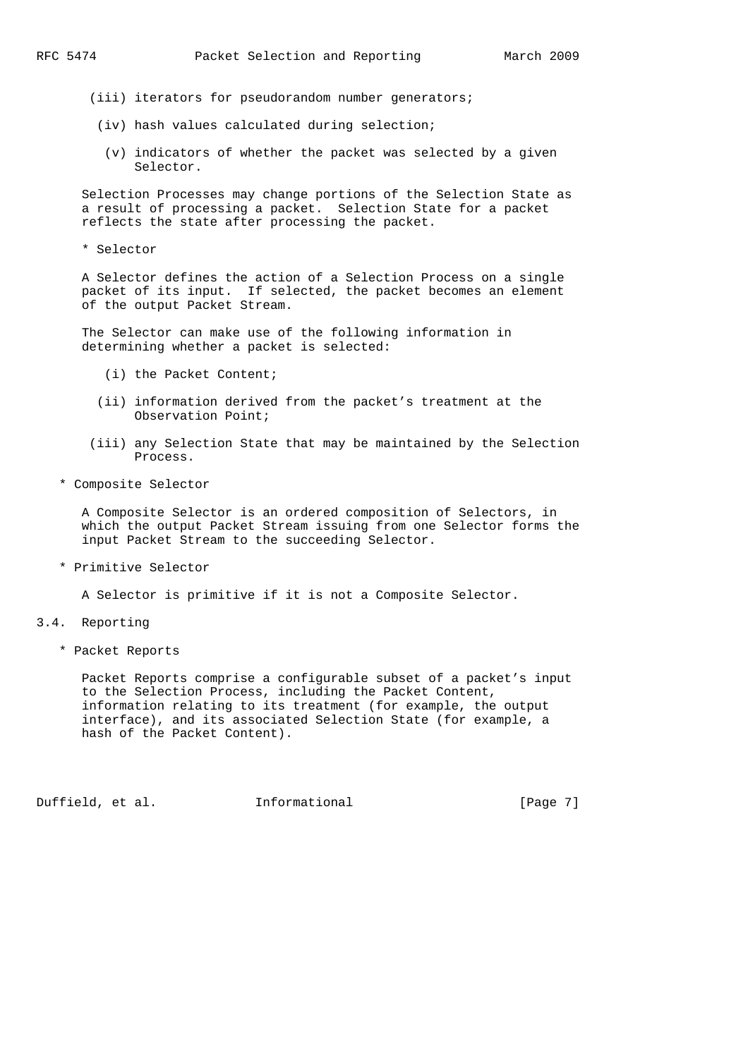- (iii) iterators for pseudorandom number generators;
- (iv) hash values calculated during selection;
- (v) indicators of whether the packet was selected by a given Selector.

 Selection Processes may change portions of the Selection State as a result of processing a packet. Selection State for a packet reflects the state after processing the packet.

\* Selector

 A Selector defines the action of a Selection Process on a single packet of its input. If selected, the packet becomes an element of the output Packet Stream.

 The Selector can make use of the following information in determining whether a packet is selected:

- (i) the Packet Content;
- (ii) information derived from the packet's treatment at the Observation Point;
- (iii) any Selection State that may be maintained by the Selection Process.
- \* Composite Selector

 A Composite Selector is an ordered composition of Selectors, in which the output Packet Stream issuing from one Selector forms the input Packet Stream to the succeeding Selector.

\* Primitive Selector

A Selector is primitive if it is not a Composite Selector.

- 3.4. Reporting
	- \* Packet Reports

 Packet Reports comprise a configurable subset of a packet's input to the Selection Process, including the Packet Content, information relating to its treatment (for example, the output interface), and its associated Selection State (for example, a hash of the Packet Content).

Duffield, et al. 1nformational [Page 7]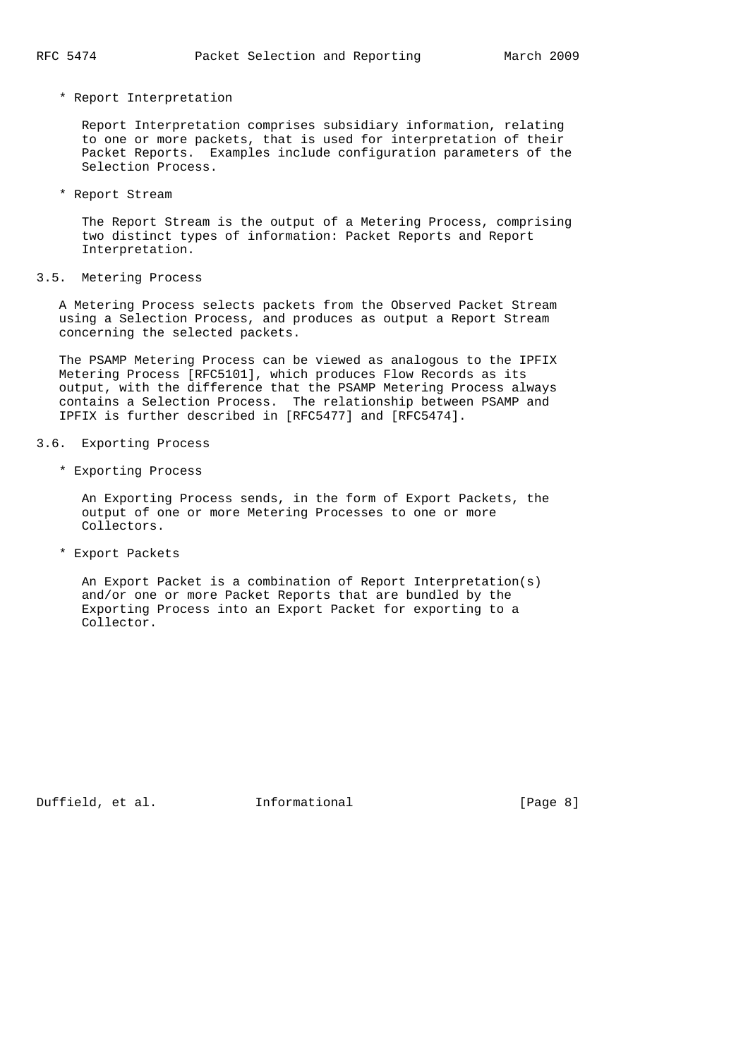### \* Report Interpretation

 Report Interpretation comprises subsidiary information, relating to one or more packets, that is used for interpretation of their Packet Reports. Examples include configuration parameters of the Selection Process.

\* Report Stream

 The Report Stream is the output of a Metering Process, comprising two distinct types of information: Packet Reports and Report Interpretation.

#### 3.5. Metering Process

 A Metering Process selects packets from the Observed Packet Stream using a Selection Process, and produces as output a Report Stream concerning the selected packets.

 The PSAMP Metering Process can be viewed as analogous to the IPFIX Metering Process [RFC5101], which produces Flow Records as its output, with the difference that the PSAMP Metering Process always contains a Selection Process. The relationship between PSAMP and IPFIX is further described in [RFC5477] and [RFC5474].

- 3.6. Exporting Process
	- \* Exporting Process

 An Exporting Process sends, in the form of Export Packets, the output of one or more Metering Processes to one or more Collectors.

\* Export Packets

 An Export Packet is a combination of Report Interpretation(s) and/or one or more Packet Reports that are bundled by the Exporting Process into an Export Packet for exporting to a Collector.

Duffield, et al. 1nformational [Page 8]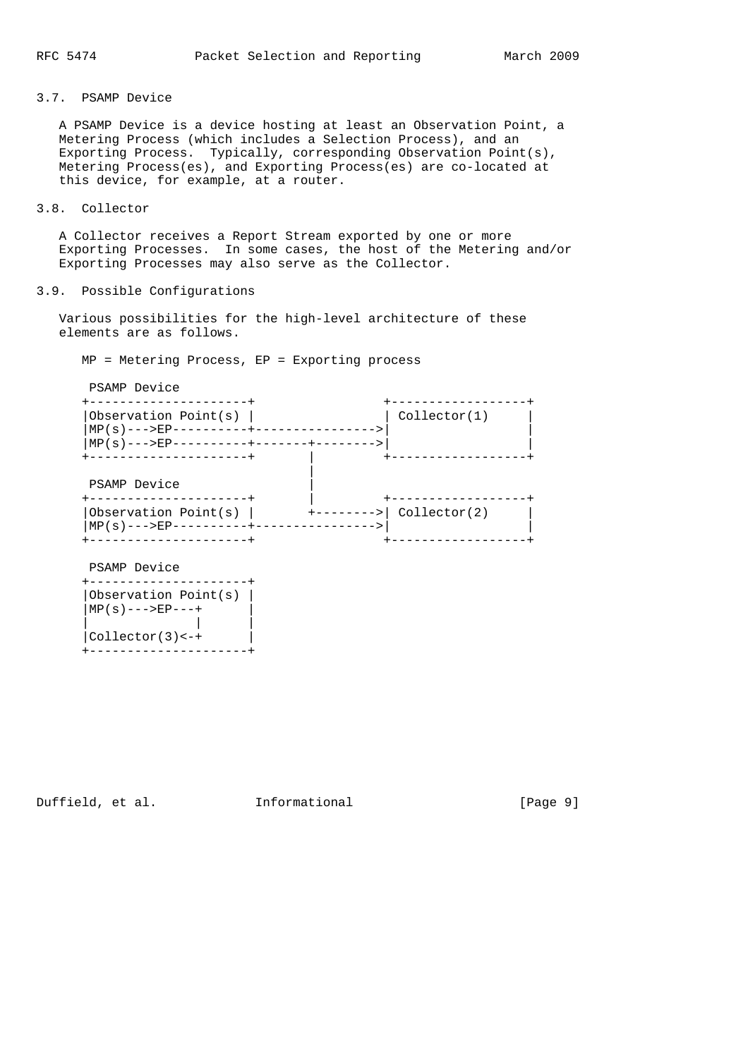## 3.7. PSAMP Device

 A PSAMP Device is a device hosting at least an Observation Point, a Metering Process (which includes a Selection Process), and an Exporting Process. Typically, corresponding Observation Point(s), Metering Process(es), and Exporting Process(es) are co-located at this device, for example, at a router.

3.8. Collector

 A Collector receives a Report Stream exported by one or more Exporting Processes. In some cases, the host of the Metering and/or Exporting Processes may also serve as the Collector.

### 3.9. Possible Configurations

 Various possibilities for the high-level architecture of these elements are as follows.

MP = Metering Process, EP = Exporting process



PSAMP Device

| Observation Point(s)        |  |
|-----------------------------|--|
| $\vert$ MP ( s ) --->EP---+ |  |
| $ Collector(3)$ <-+         |  |

Duffield, et al. 1nformational [Page 9]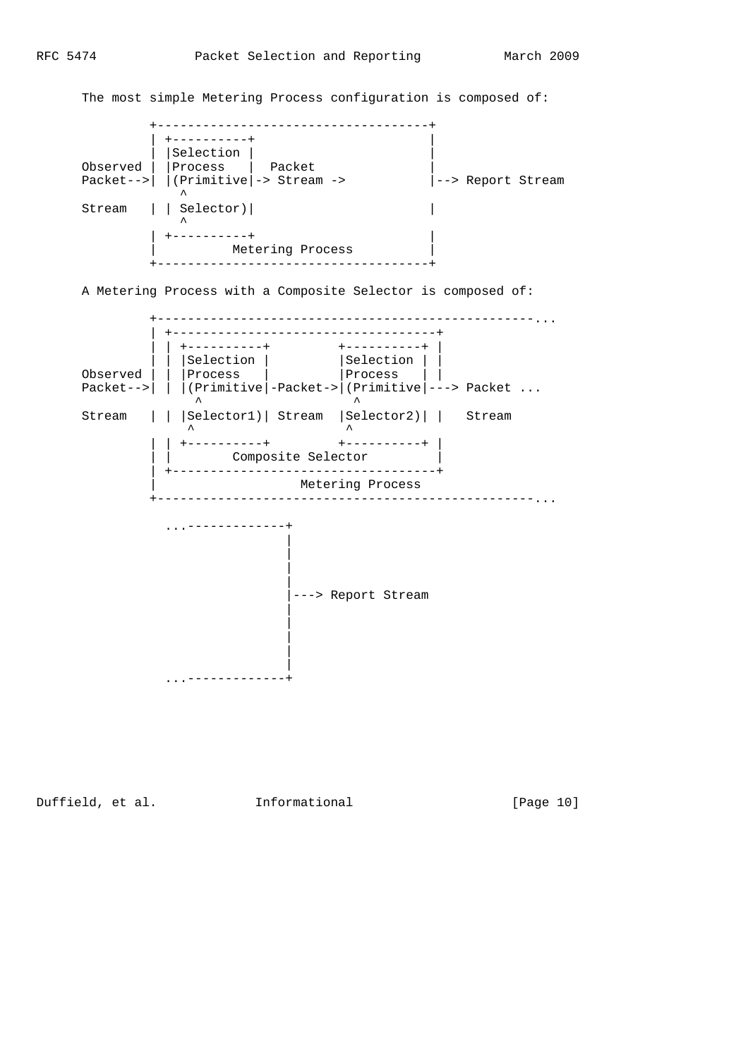+------------------------------------+ | +----------+ | | |Selection |<br>| 0bserved | |Process | Packet Observed | |Process | Packet | | Packet-->| |(Primitive|-> Stream -> |--> Report Stream  $\sim$   $\sim$   $\sim$   $\sim$  Stream | | Selector)| |  $\mathcal{L}^{\mathcal{L}}$  and  $\mathcal{L}^{\mathcal{L}}$  and  $\mathcal{L}^{\mathcal{L}}$  and  $\mathcal{L}^{\mathcal{L}}$  | +----------+ | Metering Process +------------------------------------+

The most simple Metering Process configuration is composed of:

A Metering Process with a Composite Selector is composed of:



Duffield, et al. 1nformational [Page 10]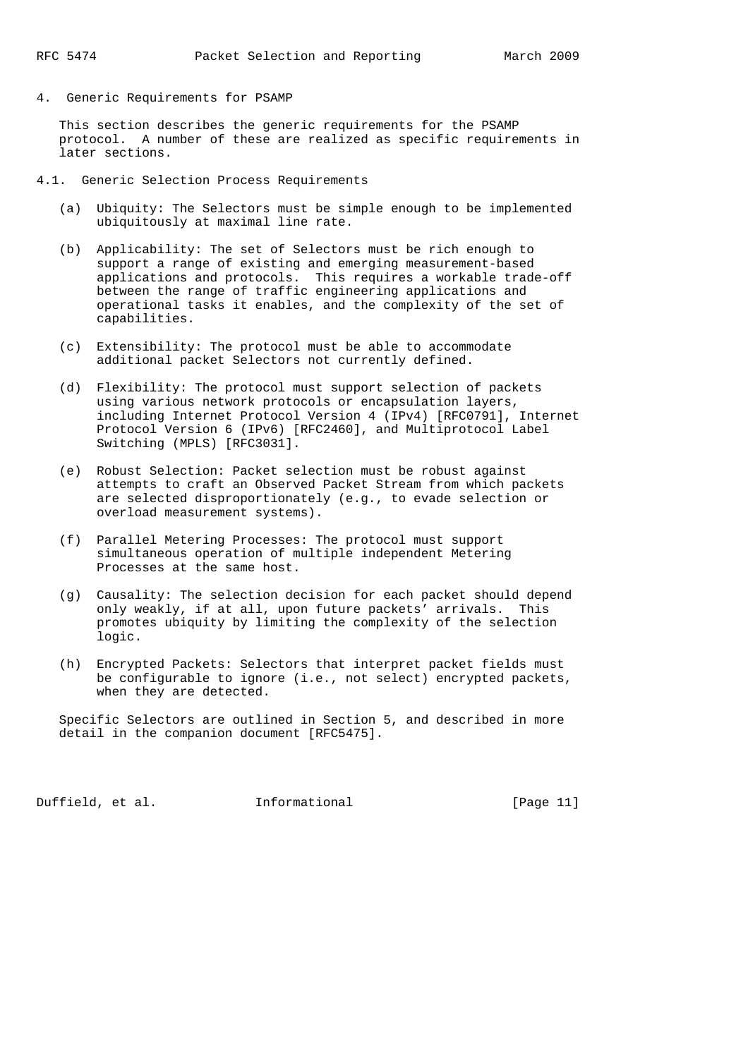4. Generic Requirements for PSAMP

 This section describes the generic requirements for the PSAMP protocol. A number of these are realized as specific requirements in later sections.

- 4.1. Generic Selection Process Requirements
	- (a) Ubiquity: The Selectors must be simple enough to be implemented ubiquitously at maximal line rate.
	- (b) Applicability: The set of Selectors must be rich enough to support a range of existing and emerging measurement-based applications and protocols. This requires a workable trade-off between the range of traffic engineering applications and operational tasks it enables, and the complexity of the set of capabilities.
	- (c) Extensibility: The protocol must be able to accommodate additional packet Selectors not currently defined.
	- (d) Flexibility: The protocol must support selection of packets using various network protocols or encapsulation layers, including Internet Protocol Version 4 (IPv4) [RFC0791], Internet Protocol Version 6 (IPv6) [RFC2460], and Multiprotocol Label Switching (MPLS) [RFC3031].
	- (e) Robust Selection: Packet selection must be robust against attempts to craft an Observed Packet Stream from which packets are selected disproportionately (e.g., to evade selection or overload measurement systems).
	- (f) Parallel Metering Processes: The protocol must support simultaneous operation of multiple independent Metering Processes at the same host.
	- (g) Causality: The selection decision for each packet should depend only weakly, if at all, upon future packets' arrivals. This promotes ubiquity by limiting the complexity of the selection logic.
	- (h) Encrypted Packets: Selectors that interpret packet fields must be configurable to ignore (i.e., not select) encrypted packets, when they are detected.

 Specific Selectors are outlined in Section 5, and described in more detail in the companion document [RFC5475].

Duffield, et al. 1nformational [Page 11]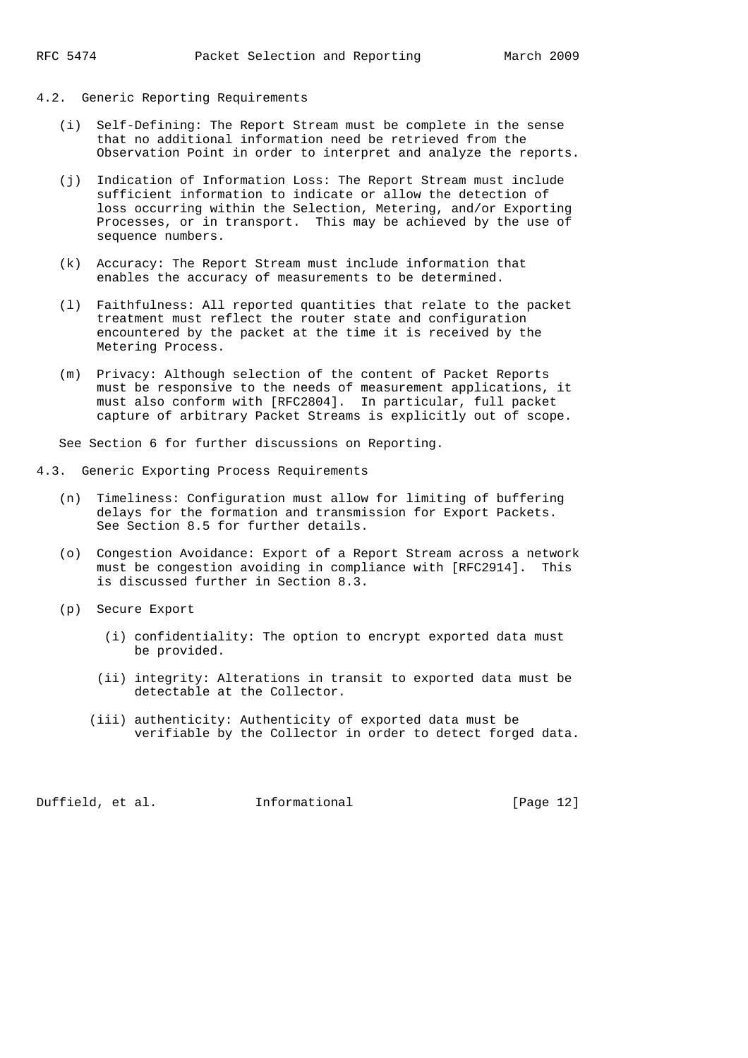- 4.2. Generic Reporting Requirements
	- (i) Self-Defining: The Report Stream must be complete in the sense that no additional information need be retrieved from the Observation Point in order to interpret and analyze the reports.
	- (j) Indication of Information Loss: The Report Stream must include sufficient information to indicate or allow the detection of loss occurring within the Selection, Metering, and/or Exporting Processes, or in transport. This may be achieved by the use of sequence numbers.
	- (k) Accuracy: The Report Stream must include information that enables the accuracy of measurements to be determined.
	- (l) Faithfulness: All reported quantities that relate to the packet treatment must reflect the router state and configuration encountered by the packet at the time it is received by the Metering Process.
	- (m) Privacy: Although selection of the content of Packet Reports must be responsive to the needs of measurement applications, it must also conform with [RFC2804]. In particular, full packet capture of arbitrary Packet Streams is explicitly out of scope.

See Section 6 for further discussions on Reporting.

- 4.3. Generic Exporting Process Requirements
	- (n) Timeliness: Configuration must allow for limiting of buffering delays for the formation and transmission for Export Packets. See Section 8.5 for further details.
	- (o) Congestion Avoidance: Export of a Report Stream across a network must be congestion avoiding in compliance with [RFC2914]. This is discussed further in Section 8.3.
	- (p) Secure Export
		- (i) confidentiality: The option to encrypt exported data must be provided.
		- (ii) integrity: Alterations in transit to exported data must be detectable at the Collector.
		- (iii) authenticity: Authenticity of exported data must be verifiable by the Collector in order to detect forged data.

Duffield, et al. 1nformational [Page 12]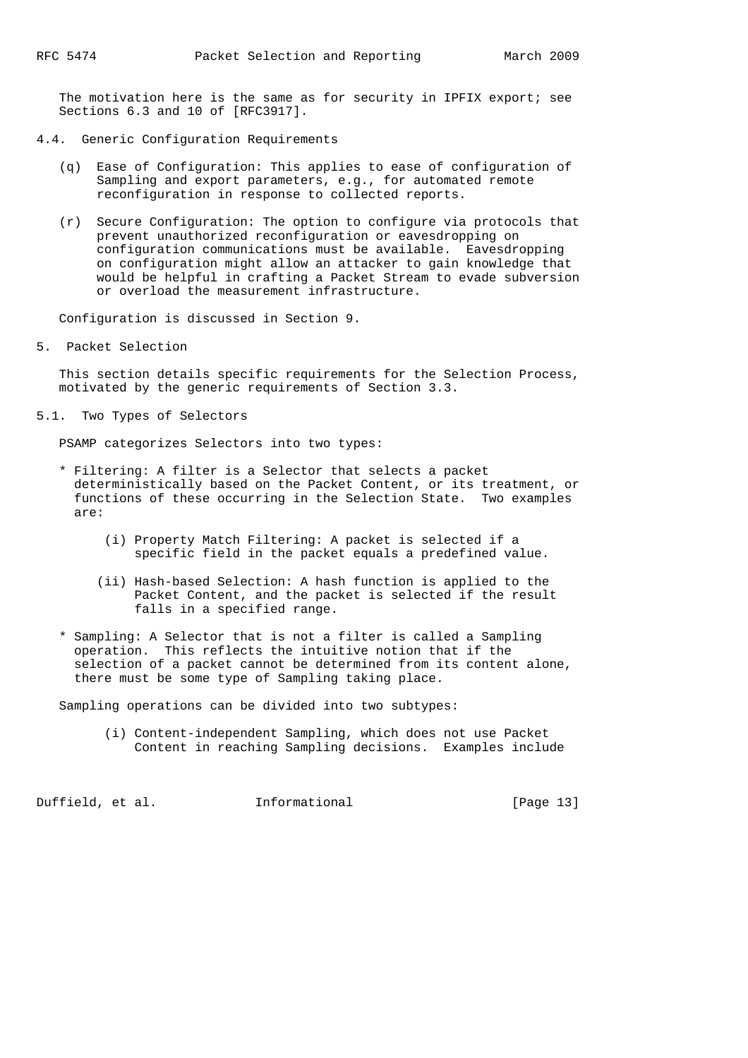The motivation here is the same as for security in IPFIX export; see Sections 6.3 and 10 of [RFC3917].

- 4.4. Generic Configuration Requirements
	- (q) Ease of Configuration: This applies to ease of configuration of Sampling and export parameters, e.g., for automated remote reconfiguration in response to collected reports.
	- (r) Secure Configuration: The option to configure via protocols that prevent unauthorized reconfiguration or eavesdropping on configuration communications must be available. Eavesdropping on configuration might allow an attacker to gain knowledge that would be helpful in crafting a Packet Stream to evade subversion or overload the measurement infrastructure.

Configuration is discussed in Section 9.

5. Packet Selection

This section details specific requirements for the Selection Process, motivated by the generic requirements of Section 3.3.

5.1. Two Types of Selectors

PSAMP categorizes Selectors into two types:

- \* Filtering: A filter is a Selector that selects a packet deterministically based on the Packet Content, or its treatment, or functions of these occurring in the Selection State. Two examples are:
	- (i) Property Match Filtering: A packet is selected if a specific field in the packet equals a predefined value.
	- (ii) Hash-based Selection: A hash function is applied to the Packet Content, and the packet is selected if the result falls in a specified range.
- \* Sampling: A Selector that is not a filter is called a Sampling operation. This reflects the intuitive notion that if the selection of a packet cannot be determined from its content alone, there must be some type of Sampling taking place.

Sampling operations can be divided into two subtypes:

 (i) Content-independent Sampling, which does not use Packet Content in reaching Sampling decisions. Examples include

Duffield, et al. 1nformational [Page 13]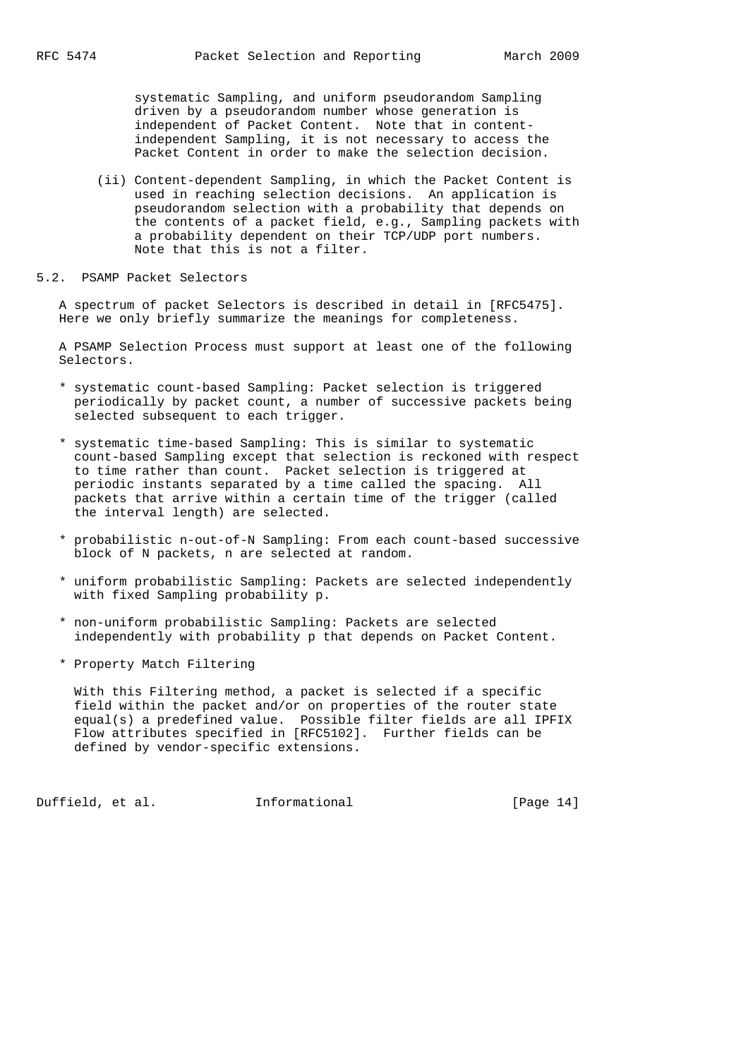systematic Sampling, and uniform pseudorandom Sampling driven by a pseudorandom number whose generation is independent of Packet Content. Note that in content independent Sampling, it is not necessary to access the Packet Content in order to make the selection decision.

- (ii) Content-dependent Sampling, in which the Packet Content is used in reaching selection decisions. An application is pseudorandom selection with a probability that depends on the contents of a packet field, e.g., Sampling packets with a probability dependent on their TCP/UDP port numbers. Note that this is not a filter.
- 5.2. PSAMP Packet Selectors

 A spectrum of packet Selectors is described in detail in [RFC5475]. Here we only briefly summarize the meanings for completeness.

 A PSAMP Selection Process must support at least one of the following Selectors.

- \* systematic count-based Sampling: Packet selection is triggered periodically by packet count, a number of successive packets being selected subsequent to each trigger.
- \* systematic time-based Sampling: This is similar to systematic count-based Sampling except that selection is reckoned with respect to time rather than count. Packet selection is triggered at periodic instants separated by a time called the spacing. All packets that arrive within a certain time of the trigger (called the interval length) are selected.
- \* probabilistic n-out-of-N Sampling: From each count-based successive block of N packets, n are selected at random.
- \* uniform probabilistic Sampling: Packets are selected independently with fixed Sampling probability p.
- \* non-uniform probabilistic Sampling: Packets are selected independently with probability p that depends on Packet Content.
- \* Property Match Filtering

 With this Filtering method, a packet is selected if a specific field within the packet and/or on properties of the router state equal(s) a predefined value. Possible filter fields are all IPFIX Flow attributes specified in [RFC5102]. Further fields can be defined by vendor-specific extensions.

Duffield, et al. 1nformational [Page 14]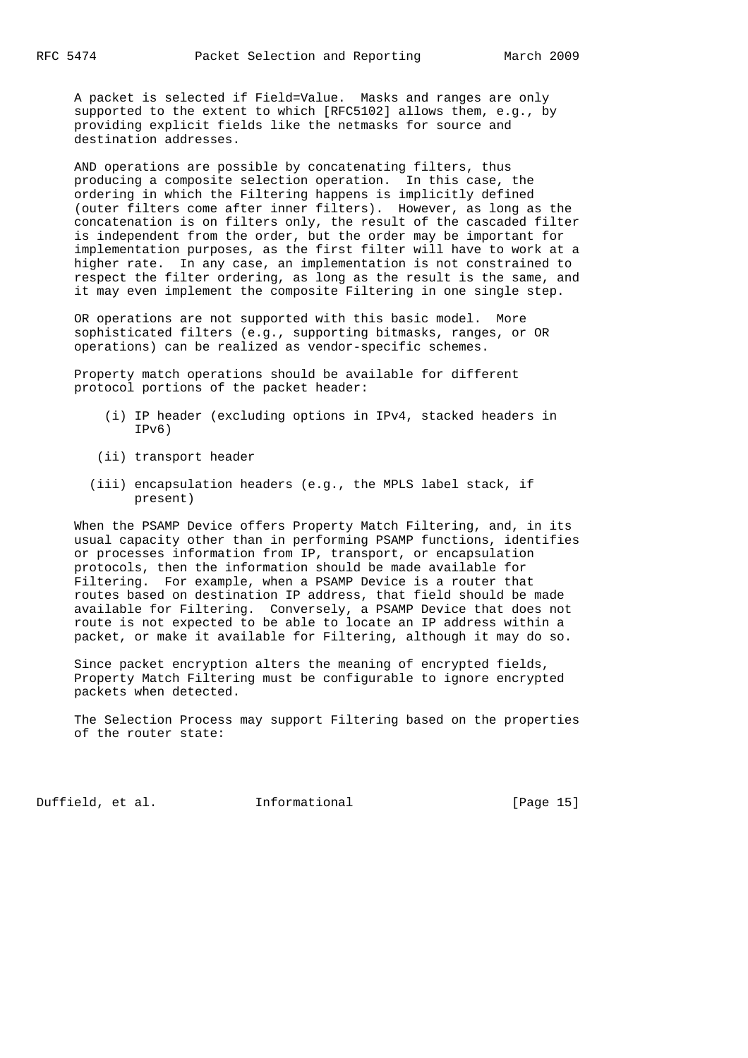A packet is selected if Field=Value. Masks and ranges are only supported to the extent to which [RFC5102] allows them, e.g., by providing explicit fields like the netmasks for source and destination addresses.

 AND operations are possible by concatenating filters, thus producing a composite selection operation. In this case, the ordering in which the Filtering happens is implicitly defined (outer filters come after inner filters). However, as long as the concatenation is on filters only, the result of the cascaded filter is independent from the order, but the order may be important for implementation purposes, as the first filter will have to work at a higher rate. In any case, an implementation is not constrained to respect the filter ordering, as long as the result is the same, and it may even implement the composite Filtering in one single step.

 OR operations are not supported with this basic model. More sophisticated filters (e.g., supporting bitmasks, ranges, or OR operations) can be realized as vendor-specific schemes.

 Property match operations should be available for different protocol portions of the packet header:

- (i) IP header (excluding options in IPv4, stacked headers in IPv6)
- (ii) transport header
- (iii) encapsulation headers (e.g., the MPLS label stack, if present)

 When the PSAMP Device offers Property Match Filtering, and, in its usual capacity other than in performing PSAMP functions, identifies or processes information from IP, transport, or encapsulation protocols, then the information should be made available for Filtering. For example, when a PSAMP Device is a router that routes based on destination IP address, that field should be made available for Filtering. Conversely, a PSAMP Device that does not route is not expected to be able to locate an IP address within a packet, or make it available for Filtering, although it may do so.

 Since packet encryption alters the meaning of encrypted fields, Property Match Filtering must be configurable to ignore encrypted packets when detected.

 The Selection Process may support Filtering based on the properties of the router state:

Duffield, et al. 1nformational [Page 15]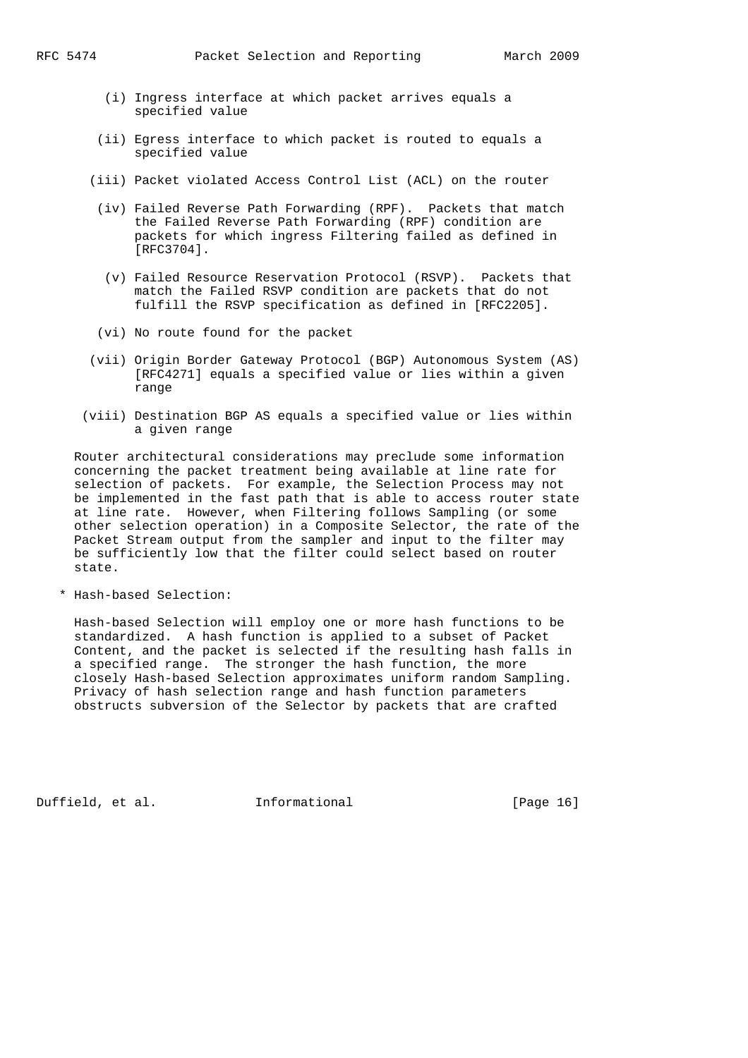- (i) Ingress interface at which packet arrives equals a specified value
- (ii) Egress interface to which packet is routed to equals a specified value
- (iii) Packet violated Access Control List (ACL) on the router
- (iv) Failed Reverse Path Forwarding (RPF). Packets that match the Failed Reverse Path Forwarding (RPF) condition are packets for which ingress Filtering failed as defined in [RFC3704].
	- (v) Failed Resource Reservation Protocol (RSVP). Packets that match the Failed RSVP condition are packets that do not fulfill the RSVP specification as defined in [RFC2205].
- (vi) No route found for the packet
- (vii) Origin Border Gateway Protocol (BGP) Autonomous System (AS) [RFC4271] equals a specified value or lies within a given range
- (viii) Destination BGP AS equals a specified value or lies within a given range

 Router architectural considerations may preclude some information concerning the packet treatment being available at line rate for selection of packets. For example, the Selection Process may not be implemented in the fast path that is able to access router state at line rate. However, when Filtering follows Sampling (or some other selection operation) in a Composite Selector, the rate of the Packet Stream output from the sampler and input to the filter may be sufficiently low that the filter could select based on router state.

\* Hash-based Selection:

 Hash-based Selection will employ one or more hash functions to be standardized. A hash function is applied to a subset of Packet Content, and the packet is selected if the resulting hash falls in a specified range. The stronger the hash function, the more closely Hash-based Selection approximates uniform random Sampling. Privacy of hash selection range and hash function parameters obstructs subversion of the Selector by packets that are crafted

Duffield, et al. 1nformational [Page 16]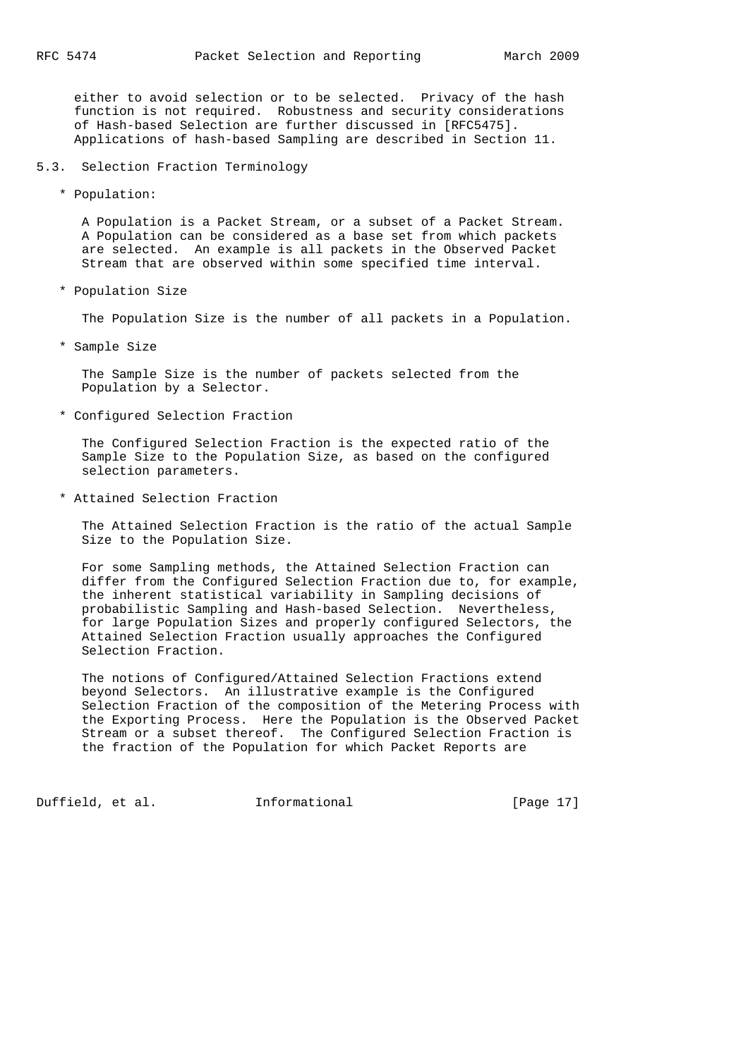either to avoid selection or to be selected. Privacy of the hash function is not required. Robustness and security considerations of Hash-based Selection are further discussed in [RFC5475]. Applications of hash-based Sampling are described in Section 11.

- 5.3. Selection Fraction Terminology
	- \* Population:

 A Population is a Packet Stream, or a subset of a Packet Stream. A Population can be considered as a base set from which packets are selected. An example is all packets in the Observed Packet Stream that are observed within some specified time interval.

\* Population Size

The Population Size is the number of all packets in a Population.

\* Sample Size

 The Sample Size is the number of packets selected from the Population by a Selector.

\* Configured Selection Fraction

 The Configured Selection Fraction is the expected ratio of the Sample Size to the Population Size, as based on the configured selection parameters.

\* Attained Selection Fraction

 The Attained Selection Fraction is the ratio of the actual Sample Size to the Population Size.

 For some Sampling methods, the Attained Selection Fraction can differ from the Configured Selection Fraction due to, for example, the inherent statistical variability in Sampling decisions of probabilistic Sampling and Hash-based Selection. Nevertheless, for large Population Sizes and properly configured Selectors, the Attained Selection Fraction usually approaches the Configured Selection Fraction.

 The notions of Configured/Attained Selection Fractions extend beyond Selectors. An illustrative example is the Configured Selection Fraction of the composition of the Metering Process with the Exporting Process. Here the Population is the Observed Packet Stream or a subset thereof. The Configured Selection Fraction is the fraction of the Population for which Packet Reports are

Duffield, et al. 1nformational [Page 17]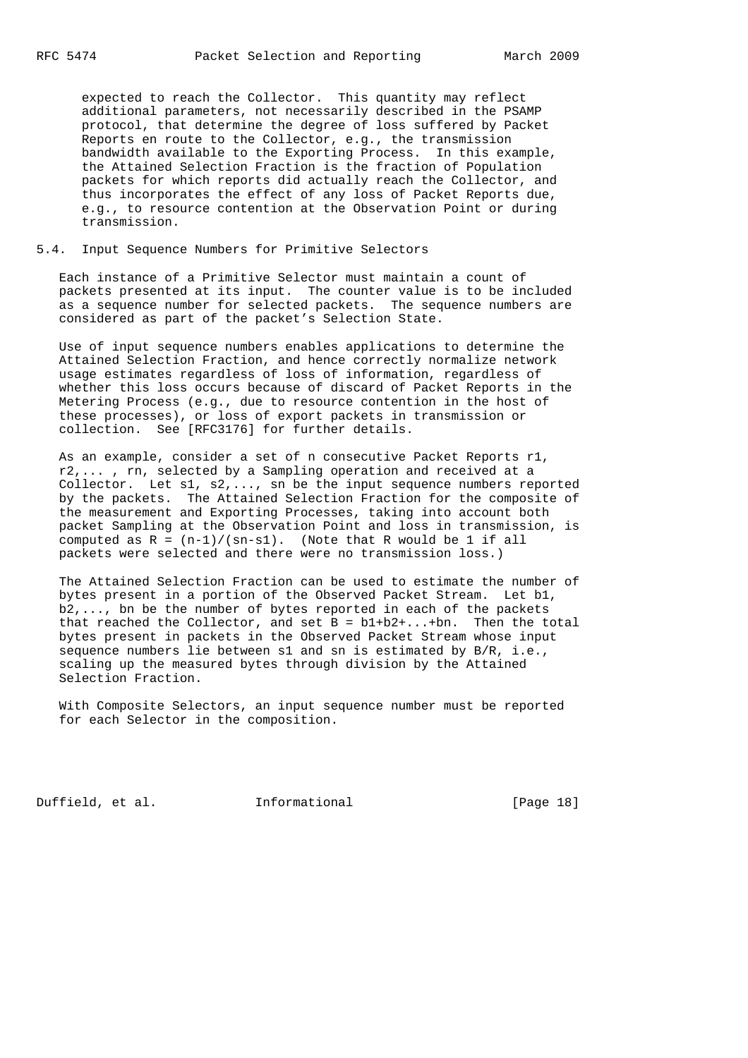expected to reach the Collector. This quantity may reflect additional parameters, not necessarily described in the PSAMP protocol, that determine the degree of loss suffered by Packet Reports en route to the Collector, e.g., the transmission bandwidth available to the Exporting Process. In this example, the Attained Selection Fraction is the fraction of Population packets for which reports did actually reach the Collector, and thus incorporates the effect of any loss of Packet Reports due, e.g., to resource contention at the Observation Point or during transmission.

## 5.4. Input Sequence Numbers for Primitive Selectors

 Each instance of a Primitive Selector must maintain a count of packets presented at its input. The counter value is to be included as a sequence number for selected packets. The sequence numbers are considered as part of the packet's Selection State.

 Use of input sequence numbers enables applications to determine the Attained Selection Fraction, and hence correctly normalize network usage estimates regardless of loss of information, regardless of whether this loss occurs because of discard of Packet Reports in the Metering Process (e.g., due to resource contention in the host of these processes), or loss of export packets in transmission or collection. See [RFC3176] for further details.

 As an example, consider a set of n consecutive Packet Reports r1, r2,... , rn, selected by a Sampling operation and received at a Collector. Let  $s1, s2, \ldots$ , sn be the input sequence numbers reported by the packets. The Attained Selection Fraction for the composite of the measurement and Exporting Processes, taking into account both packet Sampling at the Observation Point and loss in transmission, is computed as  $R = (n-1)/(sn-s1)$ . (Note that R would be 1 if all packets were selected and there were no transmission loss.)

 The Attained Selection Fraction can be used to estimate the number of bytes present in a portion of the Observed Packet Stream. Let b1, b2,..., bn be the number of bytes reported in each of the packets that reached the Collector, and set B = b1+b2+...+bn. Then the total bytes present in packets in the Observed Packet Stream whose input sequence numbers lie between s1 and sn is estimated by B/R, i.e., scaling up the measured bytes through division by the Attained Selection Fraction.

 With Composite Selectors, an input sequence number must be reported for each Selector in the composition.

Duffield, et al. 1nformational [Page 18]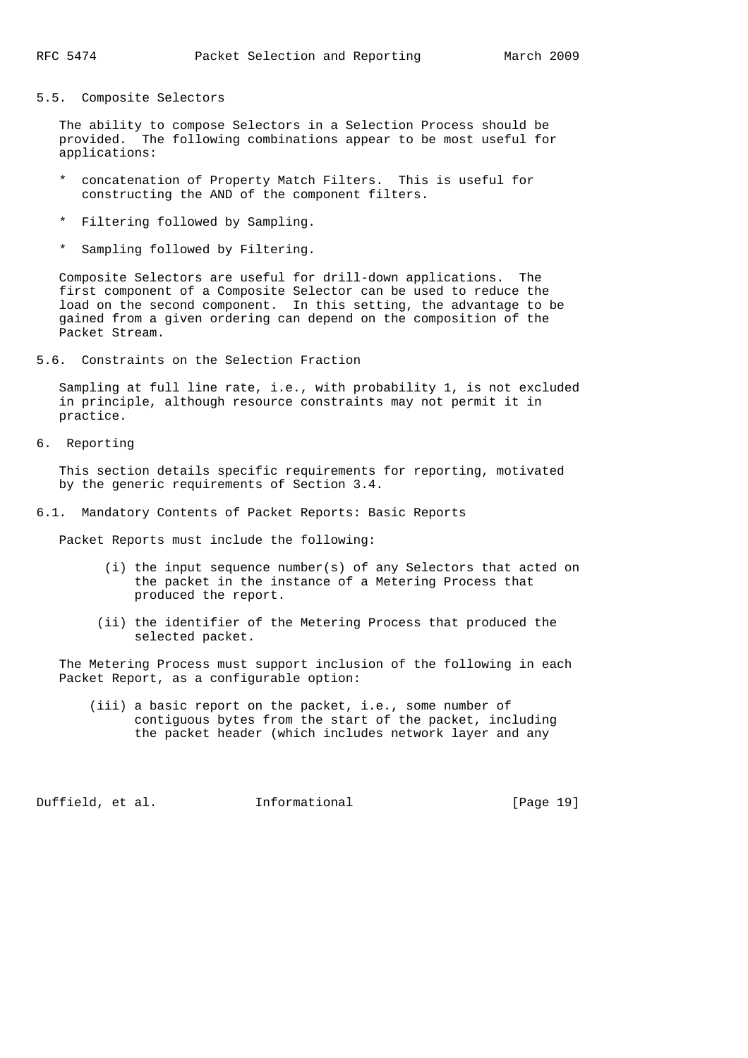#### 5.5. Composite Selectors

 The ability to compose Selectors in a Selection Process should be provided. The following combinations appear to be most useful for applications:

- \* concatenation of Property Match Filters. This is useful for constructing the AND of the component filters.
- \* Filtering followed by Sampling.
- \* Sampling followed by Filtering.

 Composite Selectors are useful for drill-down applications. The first component of a Composite Selector can be used to reduce the load on the second component. In this setting, the advantage to be gained from a given ordering can depend on the composition of the Packet Stream.

5.6. Constraints on the Selection Fraction

 Sampling at full line rate, i.e., with probability 1, is not excluded in principle, although resource constraints may not permit it in practice.

6. Reporting

 This section details specific requirements for reporting, motivated by the generic requirements of Section 3.4.

6.1. Mandatory Contents of Packet Reports: Basic Reports

Packet Reports must include the following:

- (i) the input sequence number(s) of any Selectors that acted on the packet in the instance of a Metering Process that produced the report.
- (ii) the identifier of the Metering Process that produced the selected packet.

 The Metering Process must support inclusion of the following in each Packet Report, as a configurable option:

 (iii) a basic report on the packet, i.e., some number of contiguous bytes from the start of the packet, including the packet header (which includes network layer and any

Duffield, et al. 1nformational [Page 19]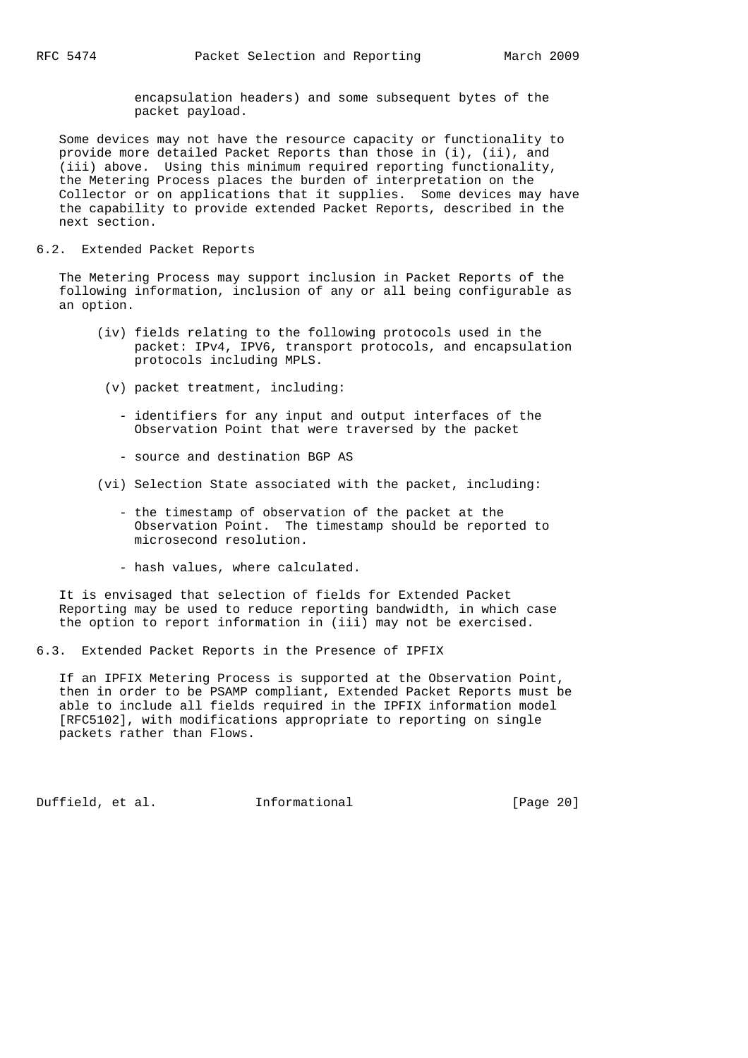encapsulation headers) and some subsequent bytes of the packet payload.

 Some devices may not have the resource capacity or functionality to provide more detailed Packet Reports than those in (i), (ii), and (iii) above. Using this minimum required reporting functionality, the Metering Process places the burden of interpretation on the Collector or on applications that it supplies. Some devices may have the capability to provide extended Packet Reports, described in the next section.

#### 6.2. Extended Packet Reports

 The Metering Process may support inclusion in Packet Reports of the following information, inclusion of any or all being configurable as an option.

- (iv) fields relating to the following protocols used in the packet: IPv4, IPV6, transport protocols, and encapsulation protocols including MPLS.
	- (v) packet treatment, including:
		- identifiers for any input and output interfaces of the Observation Point that were traversed by the packet
		- source and destination BGP AS
- (vi) Selection State associated with the packet, including:
	- the timestamp of observation of the packet at the Observation Point. The timestamp should be reported to microsecond resolution.
	- hash values, where calculated.

 It is envisaged that selection of fields for Extended Packet Reporting may be used to reduce reporting bandwidth, in which case the option to report information in (iii) may not be exercised.

6.3. Extended Packet Reports in the Presence of IPFIX

 If an IPFIX Metering Process is supported at the Observation Point, then in order to be PSAMP compliant, Extended Packet Reports must be able to include all fields required in the IPFIX information model [RFC5102], with modifications appropriate to reporting on single packets rather than Flows.

Duffield, et al. 1nformational [Page 20]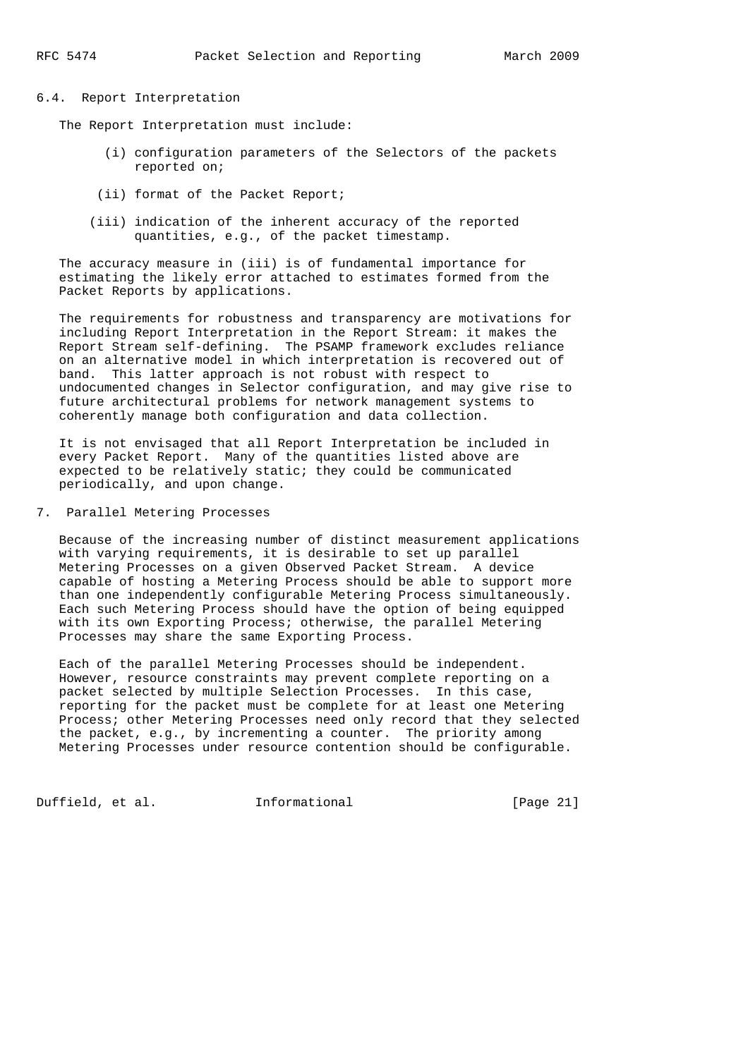### 6.4. Report Interpretation

The Report Interpretation must include:

- (i) configuration parameters of the Selectors of the packets reported on;
- (ii) format of the Packet Report;
- (iii) indication of the inherent accuracy of the reported quantities, e.g., of the packet timestamp.

 The accuracy measure in (iii) is of fundamental importance for estimating the likely error attached to estimates formed from the Packet Reports by applications.

 The requirements for robustness and transparency are motivations for including Report Interpretation in the Report Stream: it makes the Report Stream self-defining. The PSAMP framework excludes reliance on an alternative model in which interpretation is recovered out of band. This latter approach is not robust with respect to undocumented changes in Selector configuration, and may give rise to future architectural problems for network management systems to coherently manage both configuration and data collection.

 It is not envisaged that all Report Interpretation be included in every Packet Report. Many of the quantities listed above are expected to be relatively static; they could be communicated periodically, and upon change.

7. Parallel Metering Processes

 Because of the increasing number of distinct measurement applications with varying requirements, it is desirable to set up parallel Metering Processes on a given Observed Packet Stream. A device capable of hosting a Metering Process should be able to support more than one independently configurable Metering Process simultaneously. Each such Metering Process should have the option of being equipped with its own Exporting Process; otherwise, the parallel Metering Processes may share the same Exporting Process.

 Each of the parallel Metering Processes should be independent. However, resource constraints may prevent complete reporting on a packet selected by multiple Selection Processes. In this case, reporting for the packet must be complete for at least one Metering Process; other Metering Processes need only record that they selected the packet, e.g., by incrementing a counter. The priority among Metering Processes under resource contention should be configurable.

Duffield, et al. 1nformational [Page 21]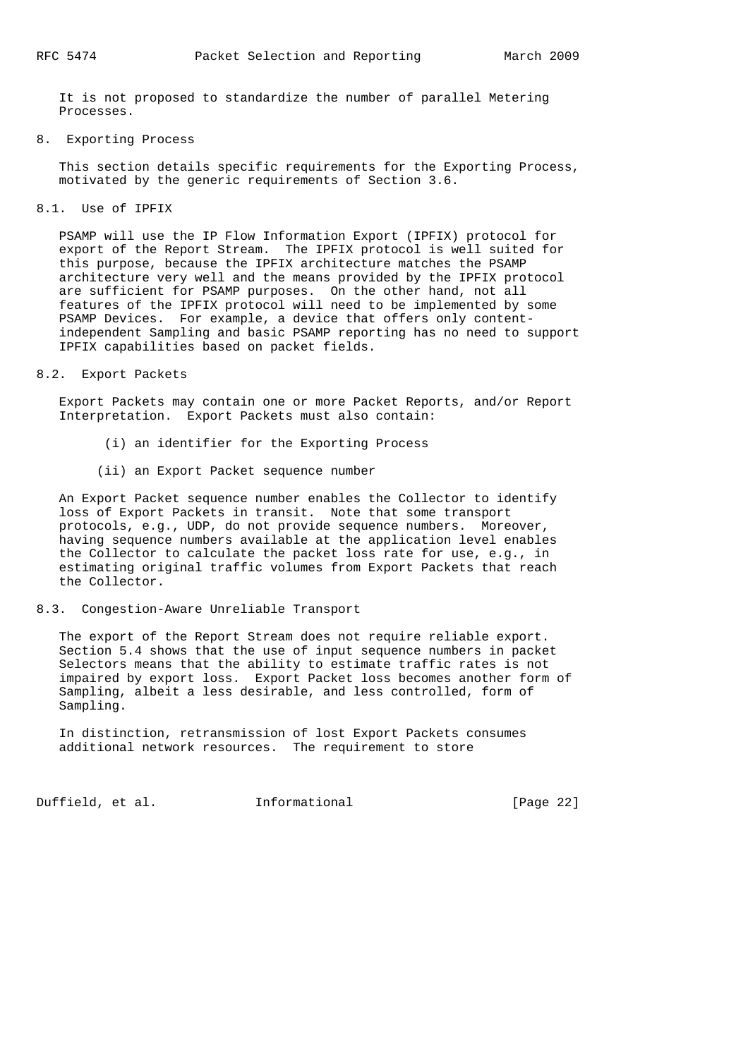It is not proposed to standardize the number of parallel Metering Processes.

8. Exporting Process

 This section details specific requirements for the Exporting Process, motivated by the generic requirements of Section 3.6.

8.1. Use of IPFIX

 PSAMP will use the IP Flow Information Export (IPFIX) protocol for export of the Report Stream. The IPFIX protocol is well suited for this purpose, because the IPFIX architecture matches the PSAMP architecture very well and the means provided by the IPFIX protocol are sufficient for PSAMP purposes. On the other hand, not all features of the IPFIX protocol will need to be implemented by some PSAMP Devices. For example, a device that offers only content independent Sampling and basic PSAMP reporting has no need to support IPFIX capabilities based on packet fields.

8.2. Export Packets

 Export Packets may contain one or more Packet Reports, and/or Report Interpretation. Export Packets must also contain:

- (i) an identifier for the Exporting Process
- (ii) an Export Packet sequence number

 An Export Packet sequence number enables the Collector to identify loss of Export Packets in transit. Note that some transport protocols, e.g., UDP, do not provide sequence numbers. Moreover, having sequence numbers available at the application level enables the Collector to calculate the packet loss rate for use, e.g., in estimating original traffic volumes from Export Packets that reach the Collector.

8.3. Congestion-Aware Unreliable Transport

 The export of the Report Stream does not require reliable export. Section 5.4 shows that the use of input sequence numbers in packet Selectors means that the ability to estimate traffic rates is not impaired by export loss. Export Packet loss becomes another form of Sampling, albeit a less desirable, and less controlled, form of Sampling.

 In distinction, retransmission of lost Export Packets consumes additional network resources. The requirement to store

Duffield, et al. 1nformational [Page 22]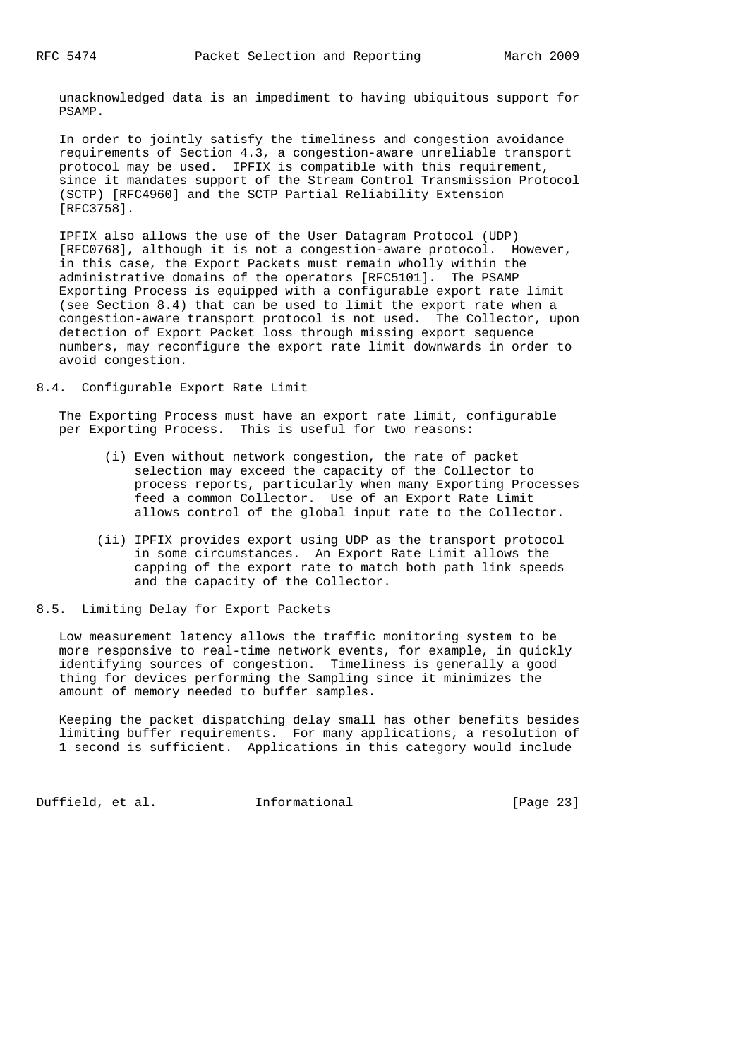unacknowledged data is an impediment to having ubiquitous support for PSAMP.

 In order to jointly satisfy the timeliness and congestion avoidance requirements of Section 4.3, a congestion-aware unreliable transport protocol may be used. IPFIX is compatible with this requirement, since it mandates support of the Stream Control Transmission Protocol (SCTP) [RFC4960] and the SCTP Partial Reliability Extension [RFC3758].

 IPFIX also allows the use of the User Datagram Protocol (UDP) [RFC0768], although it is not a congestion-aware protocol. However, in this case, the Export Packets must remain wholly within the administrative domains of the operators [RFC5101]. The PSAMP Exporting Process is equipped with a configurable export rate limit (see Section 8.4) that can be used to limit the export rate when a congestion-aware transport protocol is not used. The Collector, upon detection of Export Packet loss through missing export sequence numbers, may reconfigure the export rate limit downwards in order to avoid congestion.

8.4. Configurable Export Rate Limit

 The Exporting Process must have an export rate limit, configurable per Exporting Process. This is useful for two reasons:

- (i) Even without network congestion, the rate of packet selection may exceed the capacity of the Collector to process reports, particularly when many Exporting Processes feed a common Collector. Use of an Export Rate Limit allows control of the global input rate to the Collector.
- (ii) IPFIX provides export using UDP as the transport protocol in some circumstances. An Export Rate Limit allows the capping of the export rate to match both path link speeds and the capacity of the Collector.
- 8.5. Limiting Delay for Export Packets

 Low measurement latency allows the traffic monitoring system to be more responsive to real-time network events, for example, in quickly identifying sources of congestion. Timeliness is generally a good thing for devices performing the Sampling since it minimizes the amount of memory needed to buffer samples.

 Keeping the packet dispatching delay small has other benefits besides limiting buffer requirements. For many applications, a resolution of 1 second is sufficient. Applications in this category would include

Duffield, et al. **Informational** [Page 23]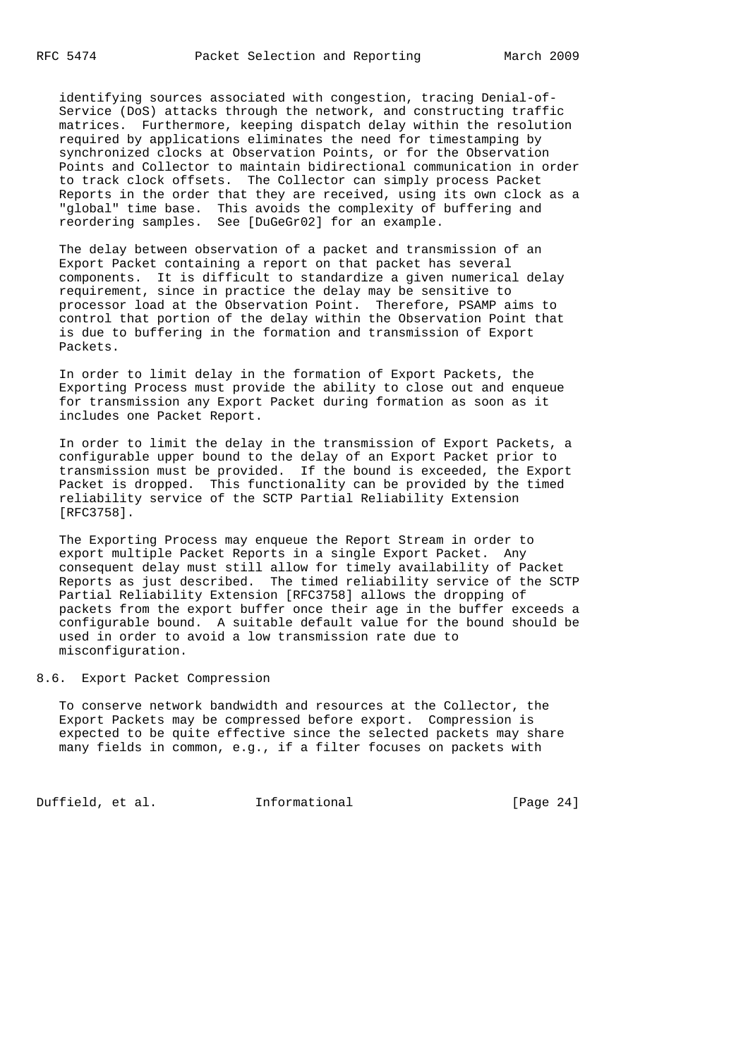identifying sources associated with congestion, tracing Denial-of- Service (DoS) attacks through the network, and constructing traffic matrices. Furthermore, keeping dispatch delay within the resolution required by applications eliminates the need for timestamping by synchronized clocks at Observation Points, or for the Observation Points and Collector to maintain bidirectional communication in order to track clock offsets. The Collector can simply process Packet Reports in the order that they are received, using its own clock as a "global" time base. This avoids the complexity of buffering and reordering samples. See [DuGeGr02] for an example.

 The delay between observation of a packet and transmission of an Export Packet containing a report on that packet has several components. It is difficult to standardize a given numerical delay requirement, since in practice the delay may be sensitive to processor load at the Observation Point. Therefore, PSAMP aims to control that portion of the delay within the Observation Point that is due to buffering in the formation and transmission of Export Packets.

 In order to limit delay in the formation of Export Packets, the Exporting Process must provide the ability to close out and enqueue for transmission any Export Packet during formation as soon as it includes one Packet Report.

 In order to limit the delay in the transmission of Export Packets, a configurable upper bound to the delay of an Export Packet prior to transmission must be provided. If the bound is exceeded, the Export Packet is dropped. This functionality can be provided by the timed reliability service of the SCTP Partial Reliability Extension [RFC3758].

 The Exporting Process may enqueue the Report Stream in order to export multiple Packet Reports in a single Export Packet. Any consequent delay must still allow for timely availability of Packet Reports as just described. The timed reliability service of the SCTP Partial Reliability Extension [RFC3758] allows the dropping of packets from the export buffer once their age in the buffer exceeds a configurable bound. A suitable default value for the bound should be used in order to avoid a low transmission rate due to misconfiguration.

### 8.6. Export Packet Compression

 To conserve network bandwidth and resources at the Collector, the Export Packets may be compressed before export. Compression is expected to be quite effective since the selected packets may share many fields in common, e.g., if a filter focuses on packets with

Duffield, et al. 1nformational [Page 24]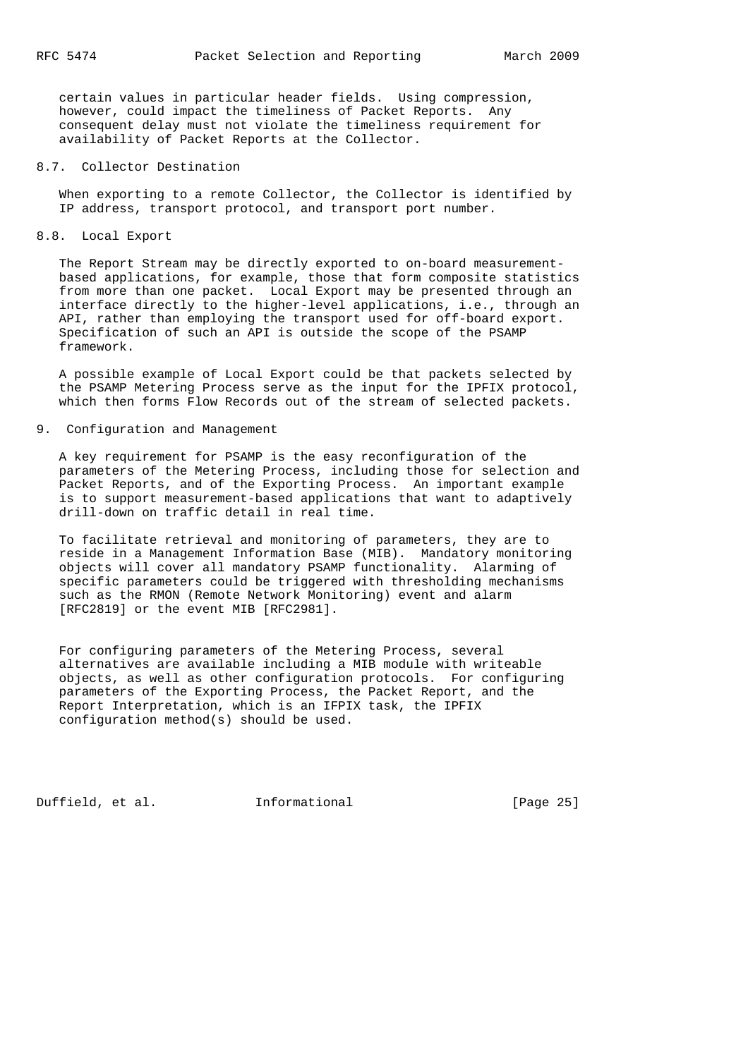certain values in particular header fields. Using compression, however, could impact the timeliness of Packet Reports. Any consequent delay must not violate the timeliness requirement for availability of Packet Reports at the Collector.

### 8.7. Collector Destination

 When exporting to a remote Collector, the Collector is identified by IP address, transport protocol, and transport port number.

### 8.8. Local Export

 The Report Stream may be directly exported to on-board measurement based applications, for example, those that form composite statistics from more than one packet. Local Export may be presented through an interface directly to the higher-level applications, i.e., through an API, rather than employing the transport used for off-board export. Specification of such an API is outside the scope of the PSAMP framework.

 A possible example of Local Export could be that packets selected by the PSAMP Metering Process serve as the input for the IPFIX protocol, which then forms Flow Records out of the stream of selected packets.

#### 9. Configuration and Management

 A key requirement for PSAMP is the easy reconfiguration of the parameters of the Metering Process, including those for selection and Packet Reports, and of the Exporting Process. An important example is to support measurement-based applications that want to adaptively drill-down on traffic detail in real time.

 To facilitate retrieval and monitoring of parameters, they are to reside in a Management Information Base (MIB). Mandatory monitoring objects will cover all mandatory PSAMP functionality. Alarming of specific parameters could be triggered with thresholding mechanisms such as the RMON (Remote Network Monitoring) event and alarm [RFC2819] or the event MIB [RFC2981].

 For configuring parameters of the Metering Process, several alternatives are available including a MIB module with writeable objects, as well as other configuration protocols. For configuring parameters of the Exporting Process, the Packet Report, and the Report Interpretation, which is an IFPIX task, the IPFIX configuration method(s) should be used.

Duffield, et al. 1nformational [Page 25]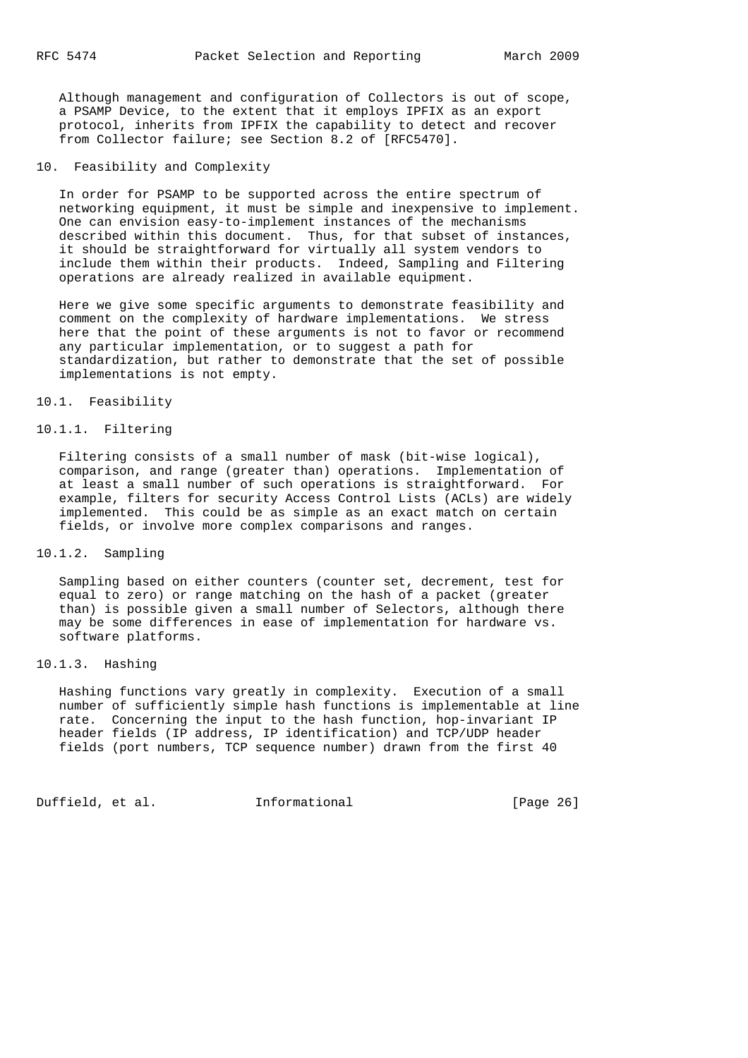Although management and configuration of Collectors is out of scope, a PSAMP Device, to the extent that it employs IPFIX as an export protocol, inherits from IPFIX the capability to detect and recover from Collector failure; see Section 8.2 of [RFC5470].

### 10. Feasibility and Complexity

 In order for PSAMP to be supported across the entire spectrum of networking equipment, it must be simple and inexpensive to implement. One can envision easy-to-implement instances of the mechanisms described within this document. Thus, for that subset of instances, it should be straightforward for virtually all system vendors to include them within their products. Indeed, Sampling and Filtering operations are already realized in available equipment.

 Here we give some specific arguments to demonstrate feasibility and comment on the complexity of hardware implementations. We stress here that the point of these arguments is not to favor or recommend any particular implementation, or to suggest a path for standardization, but rather to demonstrate that the set of possible implementations is not empty.

## 10.1. Feasibility

## 10.1.1. Filtering

 Filtering consists of a small number of mask (bit-wise logical), comparison, and range (greater than) operations. Implementation of at least a small number of such operations is straightforward. For example, filters for security Access Control Lists (ACLs) are widely implemented. This could be as simple as an exact match on certain fields, or involve more complex comparisons and ranges.

# 10.1.2. Sampling

 Sampling based on either counters (counter set, decrement, test for equal to zero) or range matching on the hash of a packet (greater than) is possible given a small number of Selectors, although there may be some differences in ease of implementation for hardware vs. software platforms.

## 10.1.3. Hashing

 Hashing functions vary greatly in complexity. Execution of a small number of sufficiently simple hash functions is implementable at line rate. Concerning the input to the hash function, hop-invariant IP header fields (IP address, IP identification) and TCP/UDP header fields (port numbers, TCP sequence number) drawn from the first 40

Duffield, et al. 1nformational [Page 26]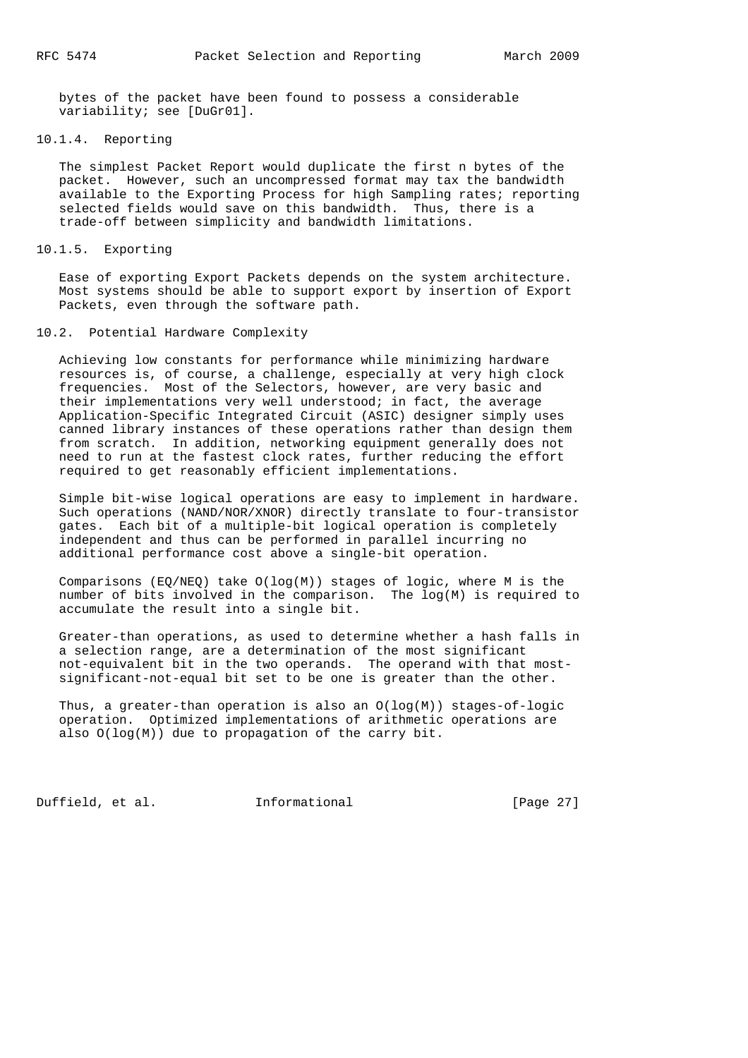bytes of the packet have been found to possess a considerable variability; see [DuGr01].

10.1.4. Reporting

 The simplest Packet Report would duplicate the first n bytes of the packet. However, such an uncompressed format may tax the bandwidth available to the Exporting Process for high Sampling rates; reporting selected fields would save on this bandwidth. Thus, there is a trade-off between simplicity and bandwidth limitations.

10.1.5. Exporting

 Ease of exporting Export Packets depends on the system architecture. Most systems should be able to support export by insertion of Export Packets, even through the software path.

10.2. Potential Hardware Complexity

 Achieving low constants for performance while minimizing hardware resources is, of course, a challenge, especially at very high clock frequencies. Most of the Selectors, however, are very basic and their implementations very well understood; in fact, the average Application-Specific Integrated Circuit (ASIC) designer simply uses canned library instances of these operations rather than design them from scratch. In addition, networking equipment generally does not need to run at the fastest clock rates, further reducing the effort required to get reasonably efficient implementations.

 Simple bit-wise logical operations are easy to implement in hardware. Such operations (NAND/NOR/XNOR) directly translate to four-transistor gates. Each bit of a multiple-bit logical operation is completely independent and thus can be performed in parallel incurring no additional performance cost above a single-bit operation.

 Comparisons (EQ/NEQ) take O(log(M)) stages of logic, where M is the number of bits involved in the comparison. The log(M) is required to accumulate the result into a single bit.

 Greater-than operations, as used to determine whether a hash falls in a selection range, are a determination of the most significant not-equivalent bit in the two operands. The operand with that most significant-not-equal bit set to be one is greater than the other.

 Thus, a greater-than operation is also an O(log(M)) stages-of-logic operation. Optimized implementations of arithmetic operations are also O(log(M)) due to propagation of the carry bit.

Duffield, et al. 1nformational [Page 27]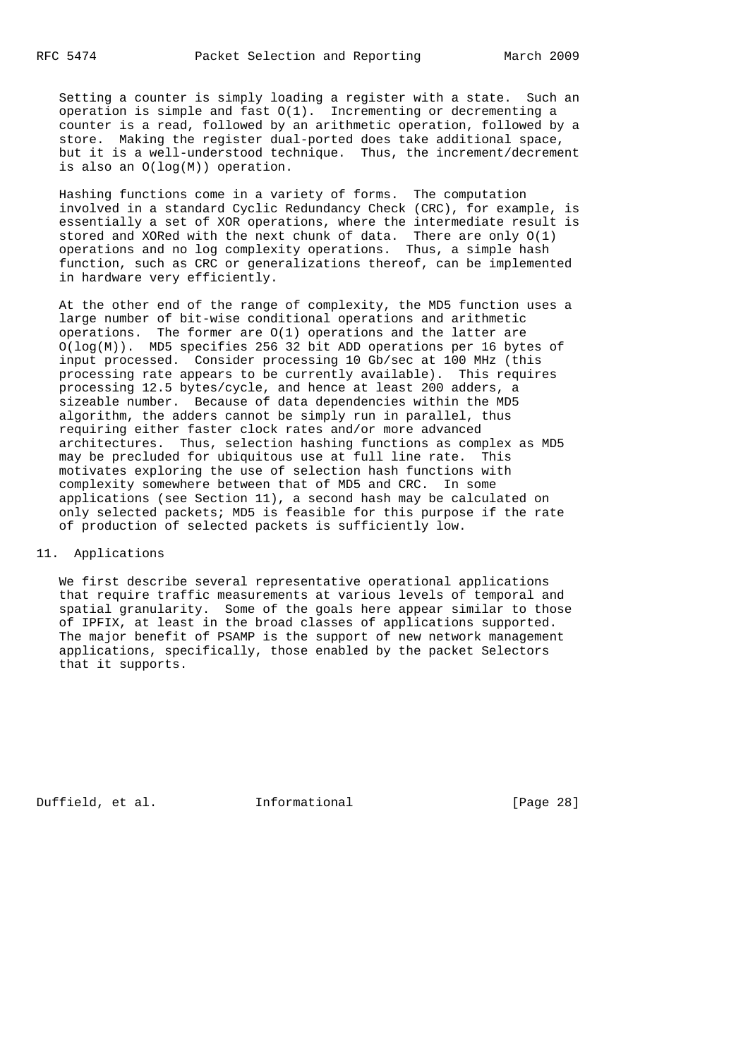Setting a counter is simply loading a register with a state. Such an operation is simple and fast O(1). Incrementing or decrementing a counter is a read, followed by an arithmetic operation, followed by a store. Making the register dual-ported does take additional space, but it is a well-understood technique. Thus, the increment/decrement is also an O(log(M)) operation.

 Hashing functions come in a variety of forms. The computation involved in a standard Cyclic Redundancy Check (CRC), for example, is essentially a set of XOR operations, where the intermediate result is stored and XORed with the next chunk of data. There are only O(1) operations and no log complexity operations. Thus, a simple hash function, such as CRC or generalizations thereof, can be implemented in hardware very efficiently.

 At the other end of the range of complexity, the MD5 function uses a large number of bit-wise conditional operations and arithmetic operations. The former are O(1) operations and the latter are O(log(M)). MD5 specifies 256 32 bit ADD operations per 16 bytes of input processed. Consider processing 10 Gb/sec at 100 MHz (this processing rate appears to be currently available). This requires processing 12.5 bytes/cycle, and hence at least 200 adders, a sizeable number. Because of data dependencies within the MD5 algorithm, the adders cannot be simply run in parallel, thus requiring either faster clock rates and/or more advanced architectures. Thus, selection hashing functions as complex as MD5 may be precluded for ubiquitous use at full line rate. This motivates exploring the use of selection hash functions with complexity somewhere between that of MD5 and CRC. In some applications (see Section 11), a second hash may be calculated on only selected packets; MD5 is feasible for this purpose if the rate of production of selected packets is sufficiently low.

## 11. Applications

 We first describe several representative operational applications that require traffic measurements at various levels of temporal and spatial granularity. Some of the goals here appear similar to those of IPFIX, at least in the broad classes of applications supported. The major benefit of PSAMP is the support of new network management applications, specifically, those enabled by the packet Selectors that it supports.

Duffield, et al. 1nformational [Page 28]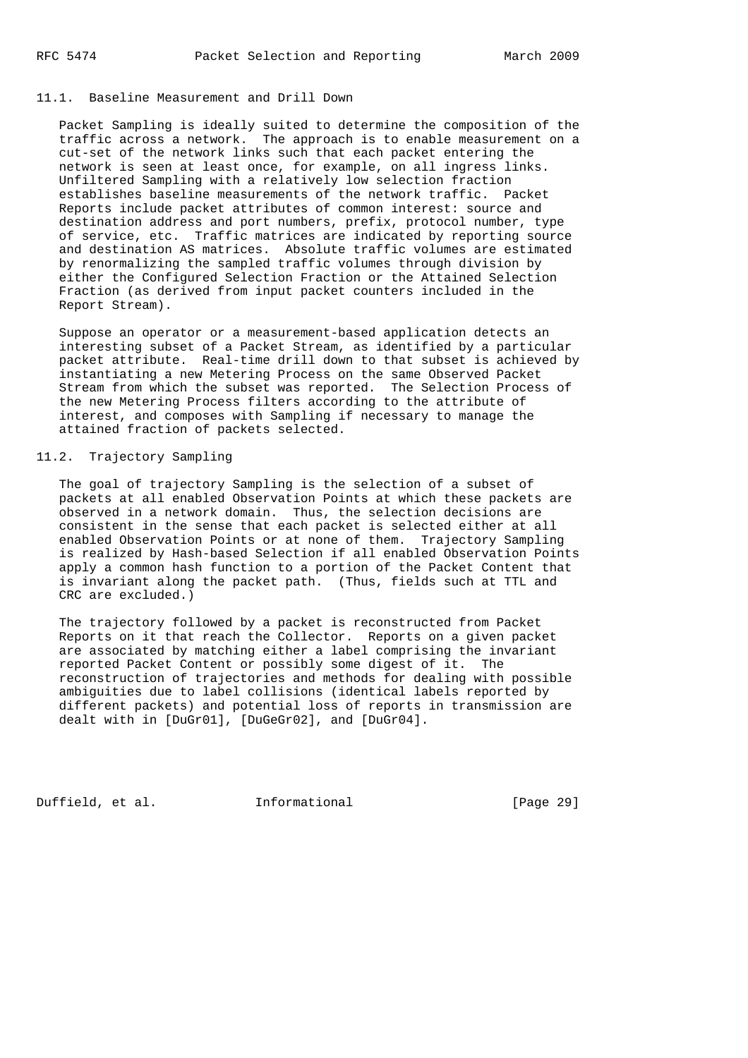## 11.1. Baseline Measurement and Drill Down

 Packet Sampling is ideally suited to determine the composition of the traffic across a network. The approach is to enable measurement on a cut-set of the network links such that each packet entering the network is seen at least once, for example, on all ingress links. Unfiltered Sampling with a relatively low selection fraction establishes baseline measurements of the network traffic. Packet Reports include packet attributes of common interest: source and destination address and port numbers, prefix, protocol number, type of service, etc. Traffic matrices are indicated by reporting source and destination AS matrices. Absolute traffic volumes are estimated by renormalizing the sampled traffic volumes through division by either the Configured Selection Fraction or the Attained Selection Fraction (as derived from input packet counters included in the Report Stream).

 Suppose an operator or a measurement-based application detects an interesting subset of a Packet Stream, as identified by a particular packet attribute. Real-time drill down to that subset is achieved by instantiating a new Metering Process on the same Observed Packet Stream from which the subset was reported. The Selection Process of the new Metering Process filters according to the attribute of interest, and composes with Sampling if necessary to manage the attained fraction of packets selected.

### 11.2. Trajectory Sampling

 The goal of trajectory Sampling is the selection of a subset of packets at all enabled Observation Points at which these packets are observed in a network domain. Thus, the selection decisions are consistent in the sense that each packet is selected either at all enabled Observation Points or at none of them. Trajectory Sampling is realized by Hash-based Selection if all enabled Observation Points apply a common hash function to a portion of the Packet Content that is invariant along the packet path. (Thus, fields such at TTL and CRC are excluded.)

 The trajectory followed by a packet is reconstructed from Packet Reports on it that reach the Collector. Reports on a given packet are associated by matching either a label comprising the invariant reported Packet Content or possibly some digest of it. The reconstruction of trajectories and methods for dealing with possible ambiguities due to label collisions (identical labels reported by different packets) and potential loss of reports in transmission are dealt with in [DuGr01], [DuGeGr02], and [DuGr04].

Duffield, et al. 1nformational [Page 29]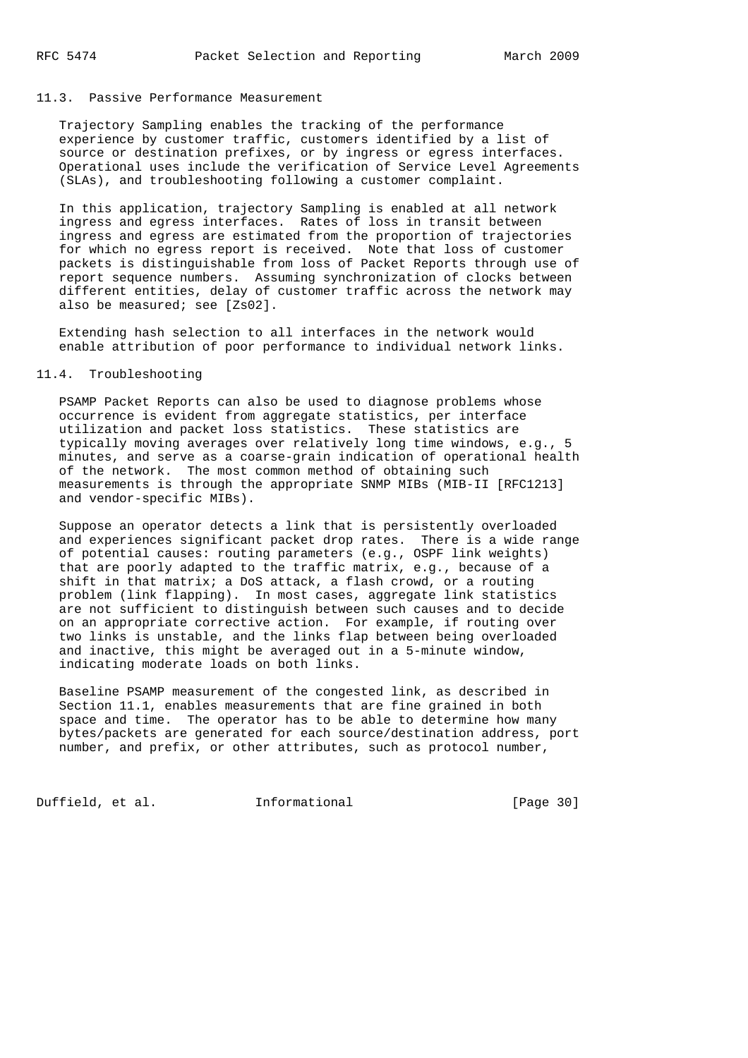## 11.3. Passive Performance Measurement

 Trajectory Sampling enables the tracking of the performance experience by customer traffic, customers identified by a list of source or destination prefixes, or by ingress or egress interfaces. Operational uses include the verification of Service Level Agreements (SLAs), and troubleshooting following a customer complaint.

 In this application, trajectory Sampling is enabled at all network ingress and egress interfaces. Rates of loss in transit between ingress and egress are estimated from the proportion of trajectories for which no egress report is received. Note that loss of customer packets is distinguishable from loss of Packet Reports through use of report sequence numbers. Assuming synchronization of clocks between different entities, delay of customer traffic across the network may also be measured; see [Zs02].

 Extending hash selection to all interfaces in the network would enable attribution of poor performance to individual network links.

### 11.4. Troubleshooting

 PSAMP Packet Reports can also be used to diagnose problems whose occurrence is evident from aggregate statistics, per interface utilization and packet loss statistics. These statistics are typically moving averages over relatively long time windows, e.g., 5 minutes, and serve as a coarse-grain indication of operational health of the network. The most common method of obtaining such measurements is through the appropriate SNMP MIBs (MIB-II [RFC1213] and vendor-specific MIBs).

 Suppose an operator detects a link that is persistently overloaded and experiences significant packet drop rates. There is a wide range of potential causes: routing parameters (e.g., OSPF link weights) that are poorly adapted to the traffic matrix, e.g., because of a shift in that matrix; a DoS attack, a flash crowd, or a routing problem (link flapping). In most cases, aggregate link statistics are not sufficient to distinguish between such causes and to decide on an appropriate corrective action. For example, if routing over two links is unstable, and the links flap between being overloaded and inactive, this might be averaged out in a 5-minute window, indicating moderate loads on both links.

 Baseline PSAMP measurement of the congested link, as described in Section 11.1, enables measurements that are fine grained in both space and time. The operator has to be able to determine how many bytes/packets are generated for each source/destination address, port number, and prefix, or other attributes, such as protocol number,

Duffield, et al. 1nformational [Page 30]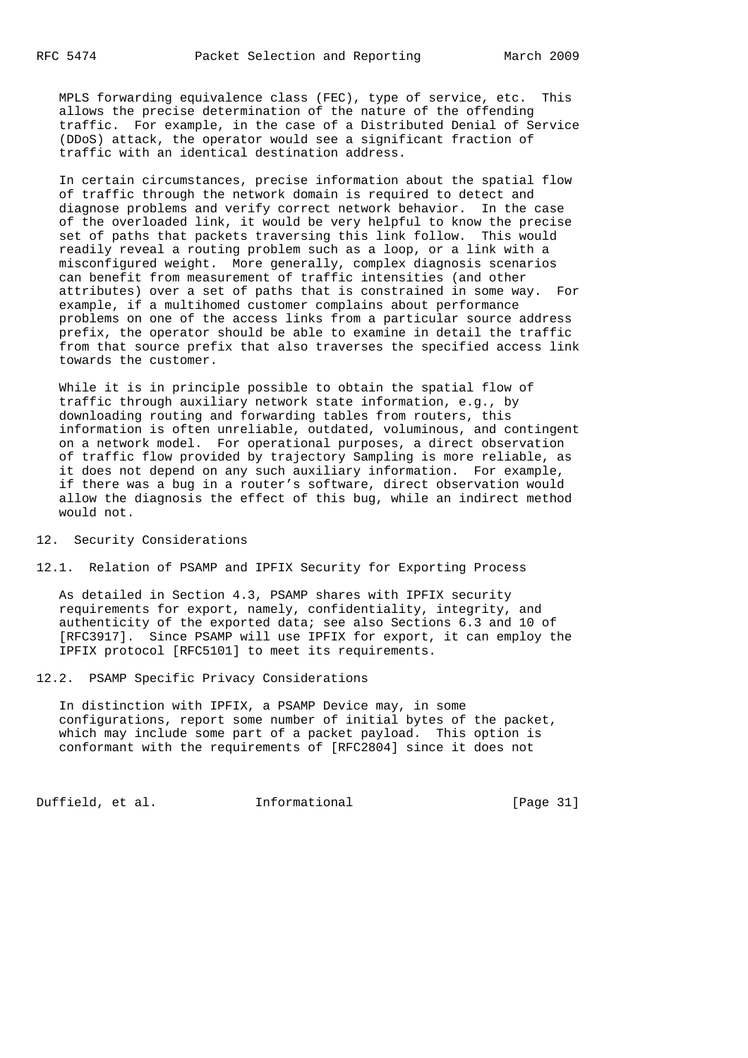MPLS forwarding equivalence class (FEC), type of service, etc. This allows the precise determination of the nature of the offending traffic. For example, in the case of a Distributed Denial of Service (DDoS) attack, the operator would see a significant fraction of traffic with an identical destination address.

 In certain circumstances, precise information about the spatial flow of traffic through the network domain is required to detect and diagnose problems and verify correct network behavior. In the case of the overloaded link, it would be very helpful to know the precise set of paths that packets traversing this link follow. This would readily reveal a routing problem such as a loop, or a link with a misconfigured weight. More generally, complex diagnosis scenarios can benefit from measurement of traffic intensities (and other attributes) over a set of paths that is constrained in some way. For example, if a multihomed customer complains about performance problems on one of the access links from a particular source address prefix, the operator should be able to examine in detail the traffic from that source prefix that also traverses the specified access link towards the customer.

 While it is in principle possible to obtain the spatial flow of traffic through auxiliary network state information, e.g., by downloading routing and forwarding tables from routers, this information is often unreliable, outdated, voluminous, and contingent on a network model. For operational purposes, a direct observation of traffic flow provided by trajectory Sampling is more reliable, as it does not depend on any such auxiliary information. For example, if there was a bug in a router's software, direct observation would allow the diagnosis the effect of this bug, while an indirect method would not.

## 12. Security Considerations

12.1. Relation of PSAMP and IPFIX Security for Exporting Process

 As detailed in Section 4.3, PSAMP shares with IPFIX security requirements for export, namely, confidentiality, integrity, and authenticity of the exported data; see also Sections 6.3 and 10 of [RFC3917]. Since PSAMP will use IPFIX for export, it can employ the IPFIX protocol [RFC5101] to meet its requirements.

12.2. PSAMP Specific Privacy Considerations

 In distinction with IPFIX, a PSAMP Device may, in some configurations, report some number of initial bytes of the packet, which may include some part of a packet payload. This option is conformant with the requirements of [RFC2804] since it does not

Duffield, et al. 1nformational [Page 31]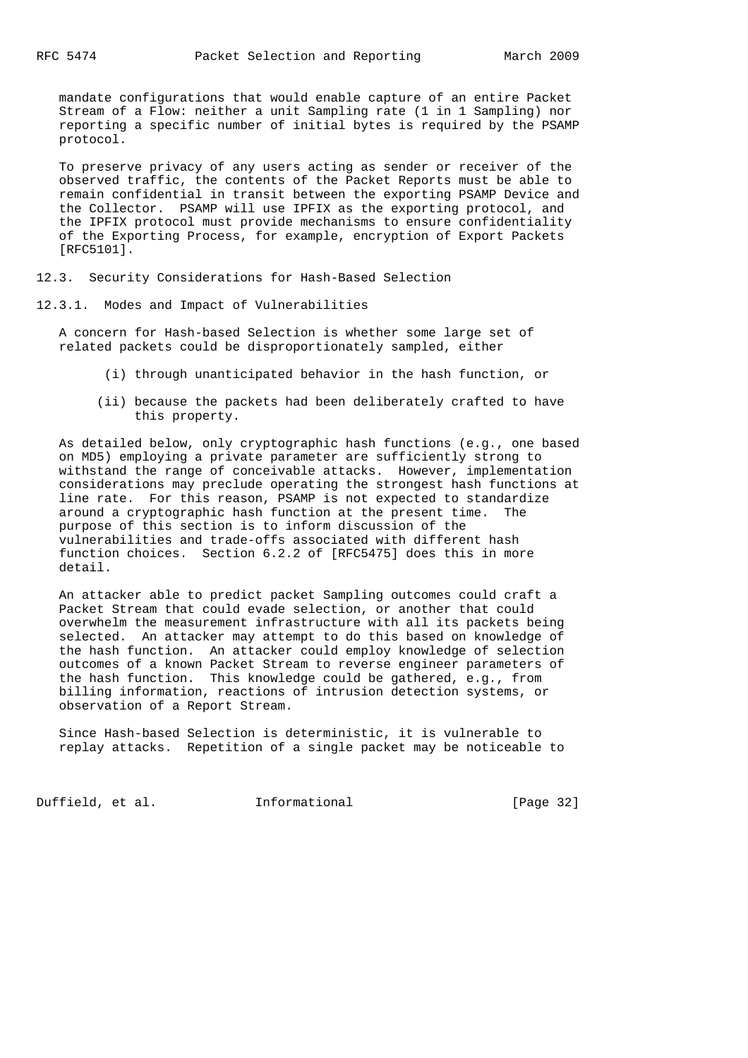mandate configurations that would enable capture of an entire Packet Stream of a Flow: neither a unit Sampling rate (1 in 1 Sampling) nor reporting a specific number of initial bytes is required by the PSAMP protocol.

 To preserve privacy of any users acting as sender or receiver of the observed traffic, the contents of the Packet Reports must be able to remain confidential in transit between the exporting PSAMP Device and the Collector. PSAMP will use IPFIX as the exporting protocol, and the IPFIX protocol must provide mechanisms to ensure confidentiality of the Exporting Process, for example, encryption of Export Packets [RFC5101].

12.3. Security Considerations for Hash-Based Selection

12.3.1. Modes and Impact of Vulnerabilities

 A concern for Hash-based Selection is whether some large set of related packets could be disproportionately sampled, either

- (i) through unanticipated behavior in the hash function, or
- (ii) because the packets had been deliberately crafted to have this property.

 As detailed below, only cryptographic hash functions (e.g., one based on MD5) employing a private parameter are sufficiently strong to withstand the range of conceivable attacks. However, implementation considerations may preclude operating the strongest hash functions at line rate. For this reason, PSAMP is not expected to standardize around a cryptographic hash function at the present time. The purpose of this section is to inform discussion of the vulnerabilities and trade-offs associated with different hash function choices. Section 6.2.2 of [RFC5475] does this in more detail.

 An attacker able to predict packet Sampling outcomes could craft a Packet Stream that could evade selection, or another that could overwhelm the measurement infrastructure with all its packets being selected. An attacker may attempt to do this based on knowledge of the hash function. An attacker could employ knowledge of selection outcomes of a known Packet Stream to reverse engineer parameters of the hash function. This knowledge could be gathered, e.g., from billing information, reactions of intrusion detection systems, or observation of a Report Stream.

 Since Hash-based Selection is deterministic, it is vulnerable to replay attacks. Repetition of a single packet may be noticeable to

Duffield, et al. 1nformational [Page 32]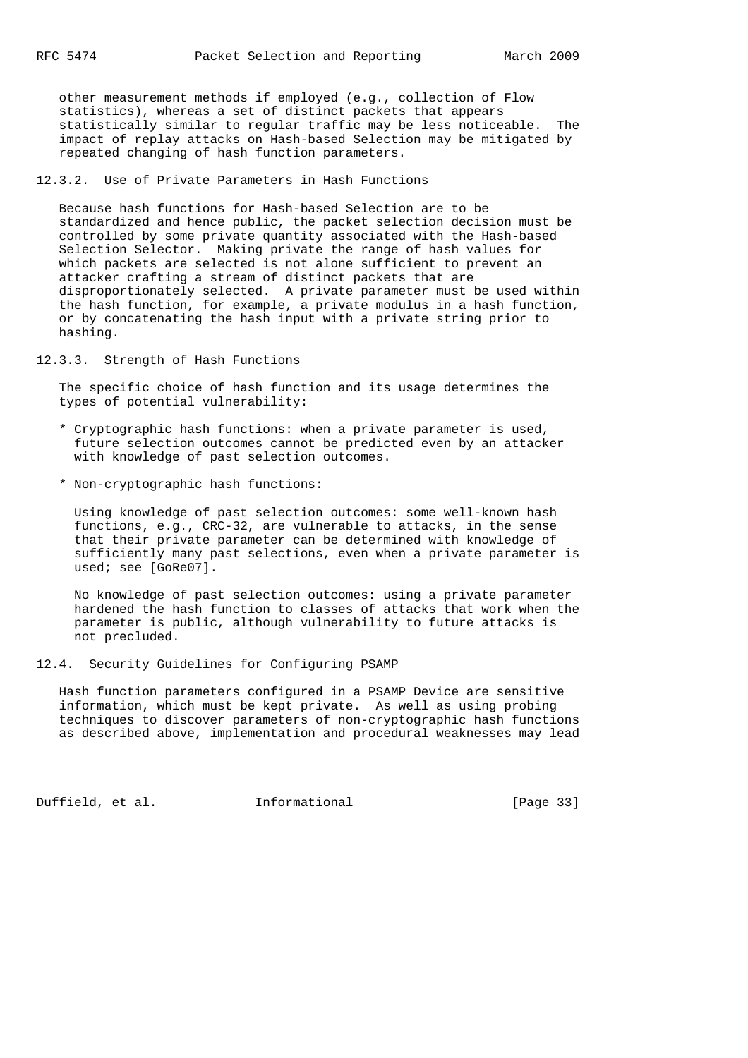other measurement methods if employed (e.g., collection of Flow statistics), whereas a set of distinct packets that appears statistically similar to regular traffic may be less noticeable. The impact of replay attacks on Hash-based Selection may be mitigated by repeated changing of hash function parameters.

## 12.3.2. Use of Private Parameters in Hash Functions

 Because hash functions for Hash-based Selection are to be standardized and hence public, the packet selection decision must be controlled by some private quantity associated with the Hash-based Selection Selector. Making private the range of hash values for which packets are selected is not alone sufficient to prevent an attacker crafting a stream of distinct packets that are disproportionately selected. A private parameter must be used within the hash function, for example, a private modulus in a hash function, or by concatenating the hash input with a private string prior to hashing.

12.3.3. Strength of Hash Functions

 The specific choice of hash function and its usage determines the types of potential vulnerability:

- \* Cryptographic hash functions: when a private parameter is used, future selection outcomes cannot be predicted even by an attacker with knowledge of past selection outcomes.
- \* Non-cryptographic hash functions:

 Using knowledge of past selection outcomes: some well-known hash functions, e.g., CRC-32, are vulnerable to attacks, in the sense that their private parameter can be determined with knowledge of sufficiently many past selections, even when a private parameter is used; see [GoRe07].

 No knowledge of past selection outcomes: using a private parameter hardened the hash function to classes of attacks that work when the parameter is public, although vulnerability to future attacks is not precluded.

## 12.4. Security Guidelines for Configuring PSAMP

 Hash function parameters configured in a PSAMP Device are sensitive information, which must be kept private. As well as using probing techniques to discover parameters of non-cryptographic hash functions as described above, implementation and procedural weaknesses may lead

Duffield, et al. 1nformational [Page 33]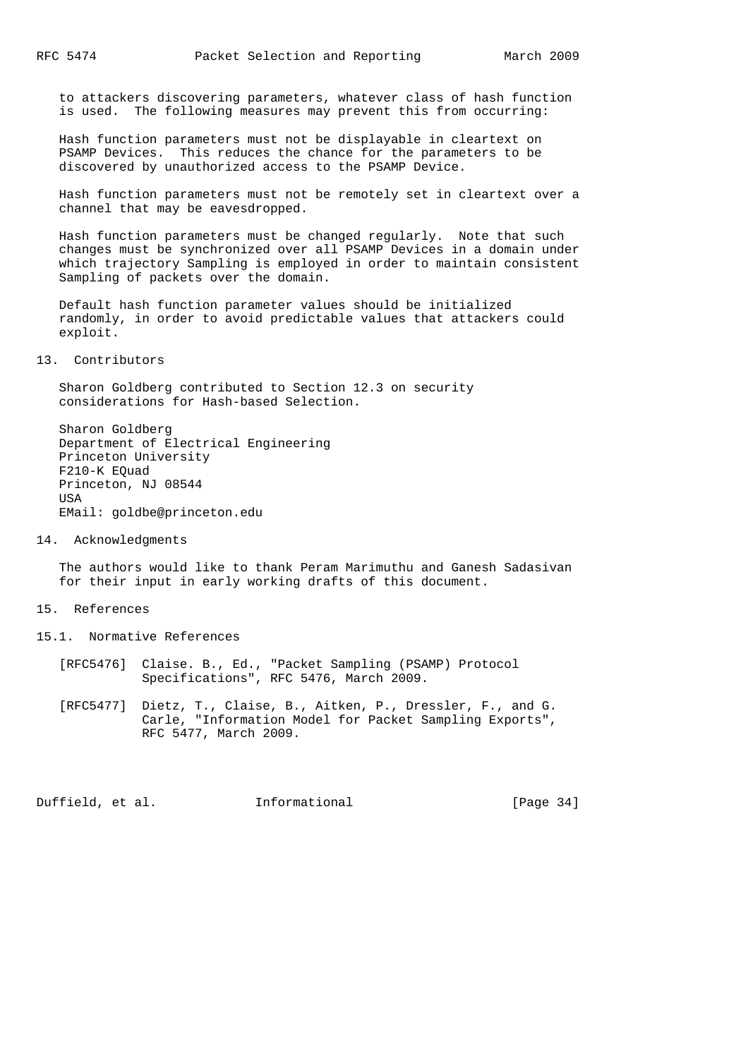to attackers discovering parameters, whatever class of hash function is used. The following measures may prevent this from occurring:

 Hash function parameters must not be displayable in cleartext on PSAMP Devices. This reduces the chance for the parameters to be discovered by unauthorized access to the PSAMP Device.

 Hash function parameters must not be remotely set in cleartext over a channel that may be eavesdropped.

 Hash function parameters must be changed regularly. Note that such changes must be synchronized over all PSAMP Devices in a domain under which trajectory Sampling is employed in order to maintain consistent Sampling of packets over the domain.

 Default hash function parameter values should be initialized randomly, in order to avoid predictable values that attackers could exploit.

13. Contributors

 Sharon Goldberg contributed to Section 12.3 on security considerations for Hash-based Selection.

 Sharon Goldberg Department of Electrical Engineering Princeton University F210-K EQuad Princeton, NJ 08544 **TISA** EMail: goldbe@princeton.edu

14. Acknowledgments

 The authors would like to thank Peram Marimuthu and Ganesh Sadasivan for their input in early working drafts of this document.

- 15. References
- 15.1. Normative References
	- [RFC5476] Claise. B., Ed., "Packet Sampling (PSAMP) Protocol Specifications", RFC 5476, March 2009.
	- [RFC5477] Dietz, T., Claise, B., Aitken, P., Dressler, F., and G. Carle, "Information Model for Packet Sampling Exports", RFC 5477, March 2009.

Duffield, et al. 1nformational [Page 34]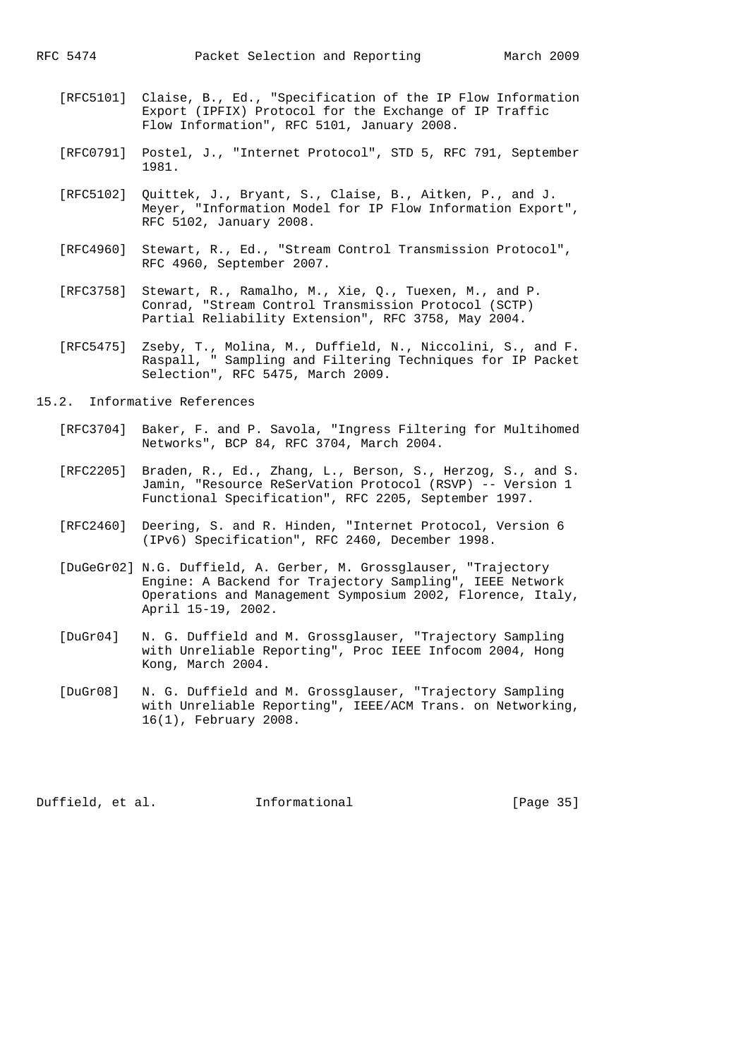- [RFC5101] Claise, B., Ed., "Specification of the IP Flow Information Export (IPFIX) Protocol for the Exchange of IP Traffic Flow Information", RFC 5101, January 2008.
- [RFC0791] Postel, J., "Internet Protocol", STD 5, RFC 791, September 1981.
- [RFC5102] Quittek, J., Bryant, S., Claise, B., Aitken, P., and J. Meyer, "Information Model for IP Flow Information Export", RFC 5102, January 2008.
- [RFC4960] Stewart, R., Ed., "Stream Control Transmission Protocol", RFC 4960, September 2007.
- [RFC3758] Stewart, R., Ramalho, M., Xie, Q., Tuexen, M., and P. Conrad, "Stream Control Transmission Protocol (SCTP) Partial Reliability Extension", RFC 3758, May 2004.
- [RFC5475] Zseby, T., Molina, M., Duffield, N., Niccolini, S., and F. Raspall, " Sampling and Filtering Techniques for IP Packet Selection", RFC 5475, March 2009.
- 15.2. Informative References
	- [RFC3704] Baker, F. and P. Savola, "Ingress Filtering for Multihomed Networks", BCP 84, RFC 3704, March 2004.
	- [RFC2205] Braden, R., Ed., Zhang, L., Berson, S., Herzog, S., and S. Jamin, "Resource ReSerVation Protocol (RSVP) -- Version 1 Functional Specification", RFC 2205, September 1997.
	- [RFC2460] Deering, S. and R. Hinden, "Internet Protocol, Version 6 (IPv6) Specification", RFC 2460, December 1998.
	- [DuGeGr02] N.G. Duffield, A. Gerber, M. Grossglauser, "Trajectory Engine: A Backend for Trajectory Sampling", IEEE Network Operations and Management Symposium 2002, Florence, Italy, April 15-19, 2002.
	- [DuGr04] N. G. Duffield and M. Grossglauser, "Trajectory Sampling with Unreliable Reporting", Proc IEEE Infocom 2004, Hong Kong, March 2004.
	- [DuGr08] N. G. Duffield and M. Grossglauser, "Trajectory Sampling with Unreliable Reporting", IEEE/ACM Trans. on Networking, 16(1), February 2008.

Duffield, et al. 1nformational [Page 35]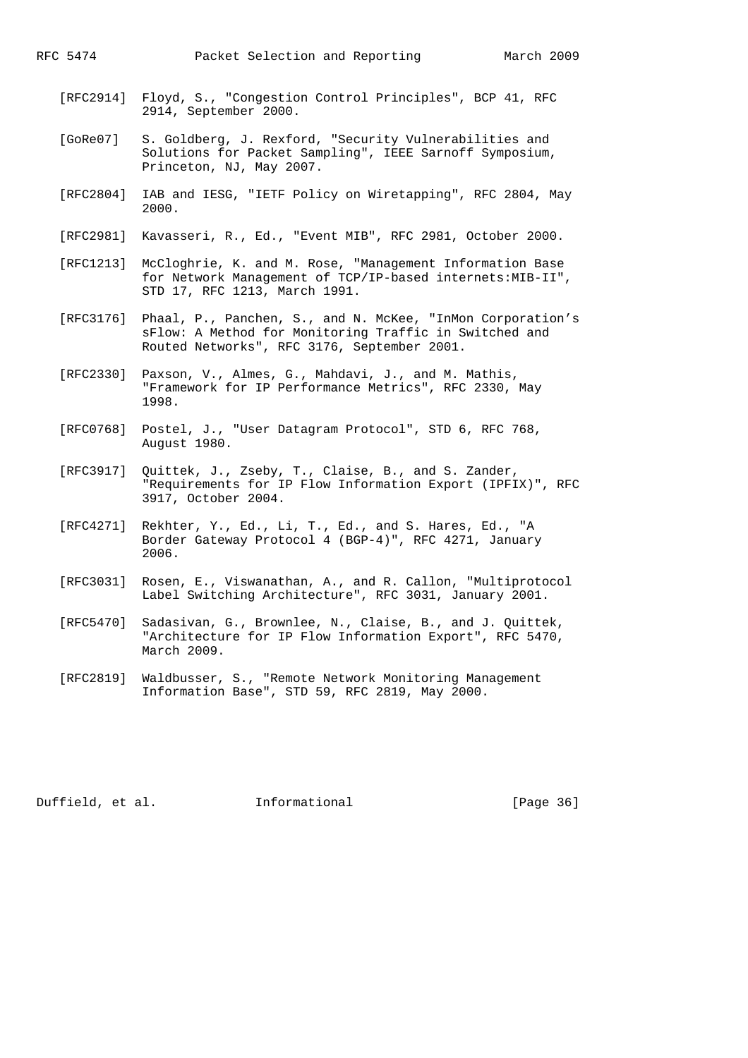- [RFC2914] Floyd, S., "Congestion Control Principles", BCP 41, RFC 2914, September 2000.
- [GoRe07] S. Goldberg, J. Rexford, "Security Vulnerabilities and Solutions for Packet Sampling", IEEE Sarnoff Symposium, Princeton, NJ, May 2007.
- [RFC2804] IAB and IESG, "IETF Policy on Wiretapping", RFC 2804, May 2000.
- [RFC2981] Kavasseri, R., Ed., "Event MIB", RFC 2981, October 2000.
- [RFC1213] McCloghrie, K. and M. Rose, "Management Information Base for Network Management of TCP/IP-based internets:MIB-II", STD 17, RFC 1213, March 1991.
- [RFC3176] Phaal, P., Panchen, S., and N. McKee, "InMon Corporation's sFlow: A Method for Monitoring Traffic in Switched and Routed Networks", RFC 3176, September 2001.
- [RFC2330] Paxson, V., Almes, G., Mahdavi, J., and M. Mathis, "Framework for IP Performance Metrics", RFC 2330, May 1998.
- [RFC0768] Postel, J., "User Datagram Protocol", STD 6, RFC 768, August 1980.
- [RFC3917] Quittek, J., Zseby, T., Claise, B., and S. Zander, "Requirements for IP Flow Information Export (IPFIX)", RFC 3917, October 2004.
- [RFC4271] Rekhter, Y., Ed., Li, T., Ed., and S. Hares, Ed., "A Border Gateway Protocol 4 (BGP-4)", RFC 4271, January 2006.
- [RFC3031] Rosen, E., Viswanathan, A., and R. Callon, "Multiprotocol Label Switching Architecture", RFC 3031, January 2001.
- [RFC5470] Sadasivan, G., Brownlee, N., Claise, B., and J. Quittek, "Architecture for IP Flow Information Export", RFC 5470, March 2009.
- [RFC2819] Waldbusser, S., "Remote Network Monitoring Management Information Base", STD 59, RFC 2819, May 2000.

Duffield, et al. 1nformational [Page 36]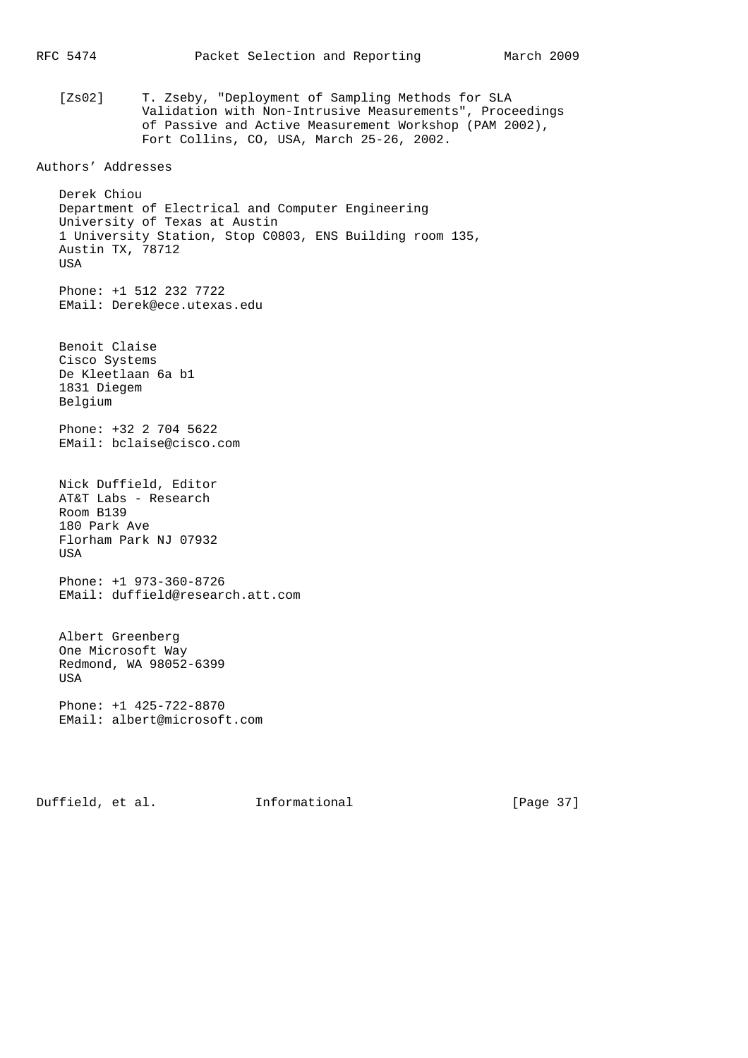[Zs02] T. Zseby, "Deployment of Sampling Methods for SLA Validation with Non-Intrusive Measurements", Proceedings of Passive and Active Measurement Workshop (PAM 2002), Fort Collins, CO, USA, March 25-26, 2002.

Authors' Addresses

 Derek Chiou Department of Electrical and Computer Engineering University of Texas at Austin 1 University Station, Stop C0803, ENS Building room 135, Austin TX, 78712 USA

 Phone: +1 512 232 7722 EMail: Derek@ece.utexas.edu

 Benoit Claise Cisco Systems De Kleetlaan 6a b1 1831 Diegem Belgium

 Phone: +32 2 704 5622 EMail: bclaise@cisco.com

 Nick Duffield, Editor AT&T Labs - Research Room B139 180 Park Ave Florham Park NJ 07932 USA

 Phone: +1 973-360-8726 EMail: duffield@research.att.com

 Albert Greenberg One Microsoft Way Redmond, WA 98052-6399 USA

 Phone: +1 425-722-8870 EMail: albert@microsoft.com

Duffield, et al. **Informational** [Page 37]